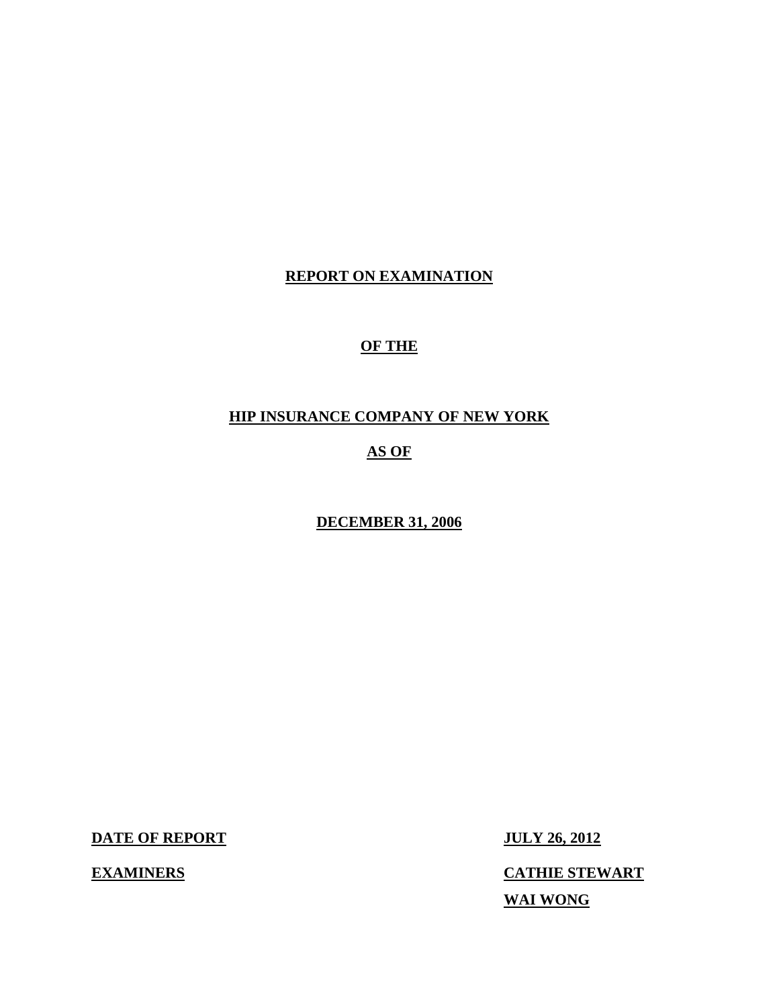### **REPORT ON EXAMINATION**

## **OF THE**

## **HIP INSURANCE COMPANY OF NEW YORK**

#### **AS OF**

#### **DECEMBER 31, 2006**

**DATE OF REPORT JULY 26, 2012** 

**EXAMINERS** 

**CATHIE STEWART WAI WONG**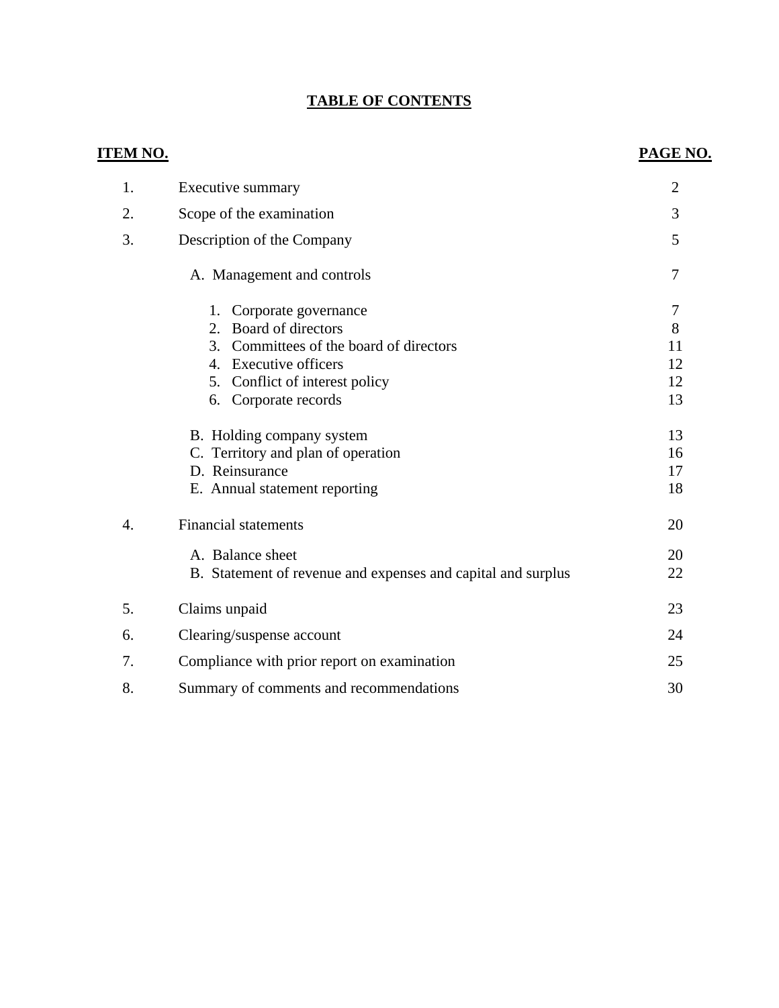## **TABLE OF CONTENTS**

| <u>em no.</u>    |                                                              | <b>PAGE NO.</b> |
|------------------|--------------------------------------------------------------|-----------------|
| 1.               | Executive summary                                            | $\overline{2}$  |
| 2.               | Scope of the examination                                     | 3               |
| 3.               | Description of the Company                                   | 5               |
|                  | A. Management and controls                                   | $\tau$          |
|                  | Corporate governance<br>1.                                   | $\overline{7}$  |
|                  | 2. Board of directors                                        | 8               |
|                  | 3. Committees of the board of directors                      | 11              |
|                  | 4. Executive officers                                        | 12              |
|                  | 5. Conflict of interest policy                               | 12              |
|                  | Corporate records<br>6.                                      | 13              |
|                  | B. Holding company system                                    | 13              |
|                  | C. Territory and plan of operation                           | 16              |
|                  | D. Reinsurance                                               | 17              |
|                  | E. Annual statement reporting                                | 18              |
| $\overline{4}$ . | <b>Financial statements</b>                                  | 20              |
|                  | A. Balance sheet                                             | 20              |
|                  | B. Statement of revenue and expenses and capital and surplus | 22              |
| 5.               |                                                              | 23              |
|                  | Claims unpaid                                                |                 |
| 6.               | Clearing/suspense account                                    | 24              |
| 7.               | Compliance with prior report on examination                  | 25              |
| 8.               | Summary of comments and recommendations                      | 30              |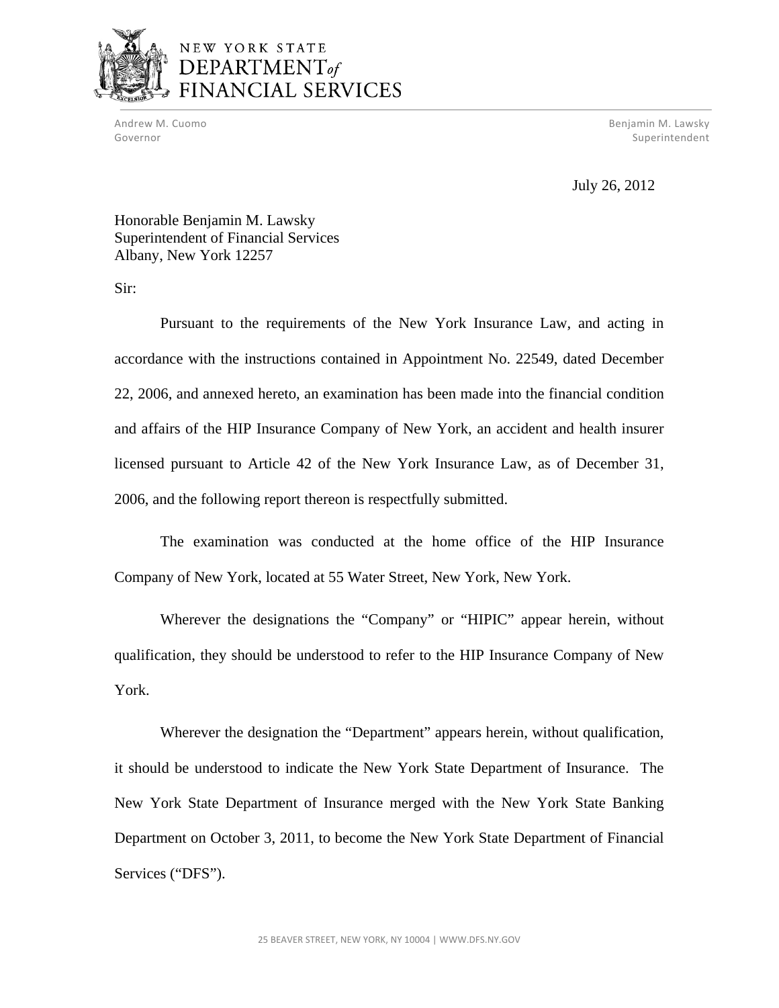

## NEW YORK STATE DEPARTMENT<sub>of</sub> NCIAL SERVICES

Andrew M. Cuomo Benjamin M. Lawsky Governor **Superintendent** Superintendent Superintendent Superintendent Superintendent Superintendent Superintendent

July 26, 2012

Honorable Benjamin M. Lawsky Superintendent of Financial Services Albany, New York 12257

Sir:

Pursuant to the requirements of the New York Insurance Law, and acting in accordance with the instructions contained in Appointment No. 22549, dated December 22, 2006, and annexed hereto, an examination has been made into the financial condition and affairs of the HIP Insurance Company of New York, an accident and health insurer licensed pursuant to Article 42 of the New York Insurance Law, as of December 31, 2006, and the following report thereon is respectfully submitted.

The examination was conducted at the home office of the HIP Insurance Company of New York, located at 55 Water Street, New York, New York.

Wherever the designations the "Company" or "HIPIC" appear herein, without qualification, they should be understood to refer to the HIP Insurance Company of New York.

Wherever the designation the "Department" appears herein, without qualification, it should be understood to indicate the New York State Department of Insurance. The New York State Department of Insurance merged with the New York State Banking Department on October 3, 2011, to become the New York State Department of Financial Services ("DFS").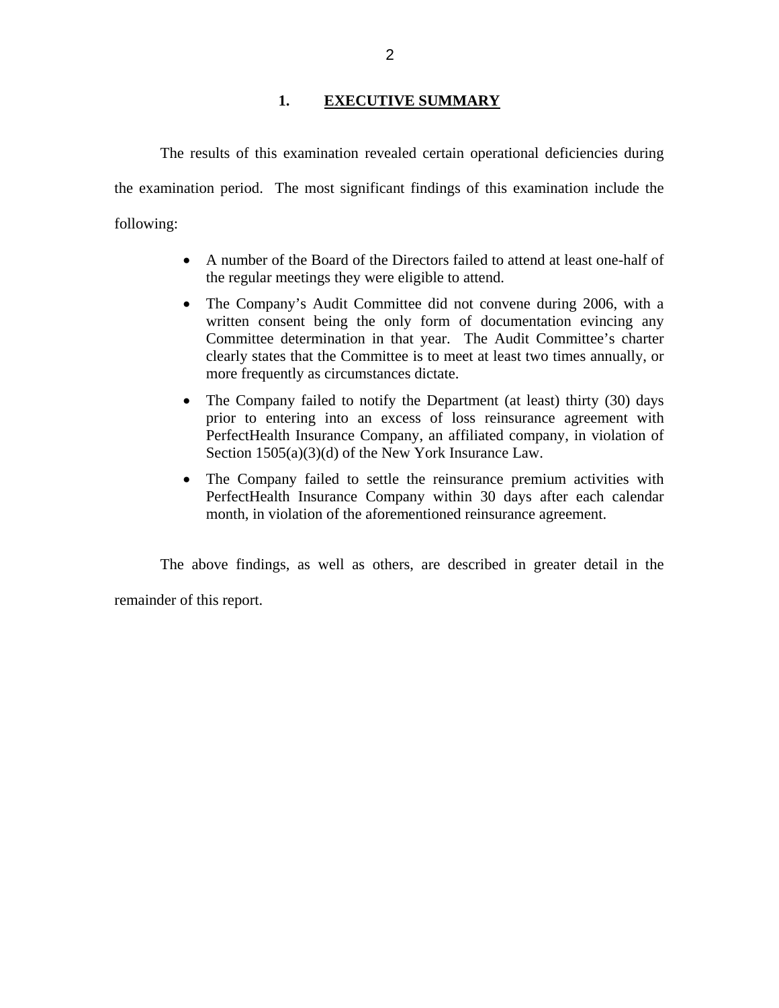#### **1. EXECUTIVE SUMMARY**

<span id="page-3-0"></span>The results of this examination revealed certain operational deficiencies during the examination period. The most significant findings of this examination include the following:

- A number of the Board of the Directors failed to attend at least one-half of the regular meetings they were eligible to attend.
- The Company's Audit Committee did not convene during 2006, with a written consent being the only form of documentation evincing any Committee determination in that year. The Audit Committee's charter clearly states that the Committee is to meet at least two times annually, or more frequently as circumstances dictate.
- The Company failed to notify the Department (at least) thirty (30) days prior to entering into an excess of loss reinsurance agreement with PerfectHealth Insurance Company, an affiliated company, in violation of Section 1505(a)(3)(d) of the New York Insurance Law.
- The Company failed to settle the reinsurance premium activities with PerfectHealth Insurance Company within 30 days after each calendar month, in violation of the aforementioned reinsurance agreement.

The above findings, as well as others, are described in greater detail in the

remainder of this report.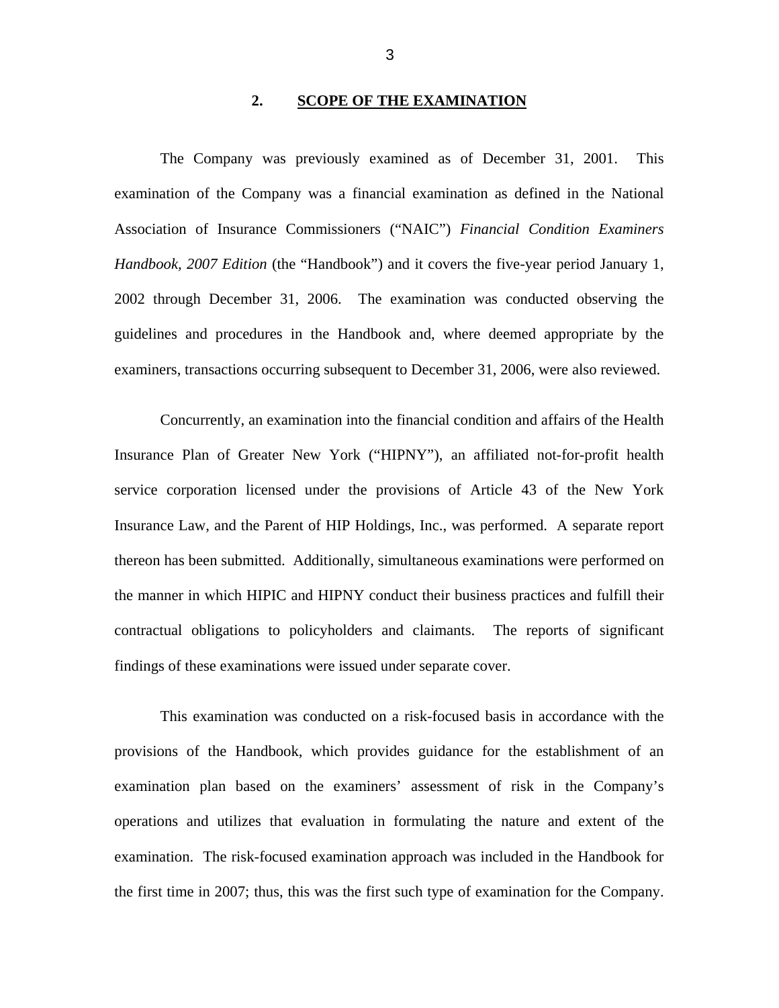#### **2. SCOPE OF THE EXAMINATION**

<span id="page-4-0"></span>The Company was previously examined as of December 31, 2001. This examination of the Company was a financial examination as defined in the National Association of Insurance Commissioners ("NAIC") *Financial Condition Examiners Handbook, 2007 Edition* (the "Handbook") and it covers the five-year period January 1, 2002 through December 31, 2006. The examination was conducted observing the guidelines and procedures in the Handbook and, where deemed appropriate by the examiners, transactions occurring subsequent to December 31, 2006, were also reviewed.

Concurrently, an examination into the financial condition and affairs of the Health Insurance Plan of Greater New York ("HIPNY"), an affiliated not-for-profit health service corporation licensed under the provisions of Article 43 of the New York Insurance Law, and the Parent of HIP Holdings, Inc., was performed. A separate report thereon has been submitted. Additionally, simultaneous examinations were performed on the manner in which HIPIC and HIPNY conduct their business practices and fulfill their contractual obligations to policyholders and claimants. The reports of significant findings of these examinations were issued under separate cover.

This examination was conducted on a risk-focused basis in accordance with the provisions of the Handbook, which provides guidance for the establishment of an examination plan based on the examiners' assessment of risk in the Company's operations and utilizes that evaluation in formulating the nature and extent of the examination. The risk-focused examination approach was included in the Handbook for the first time in 2007; thus, this was the first such type of examination for the Company.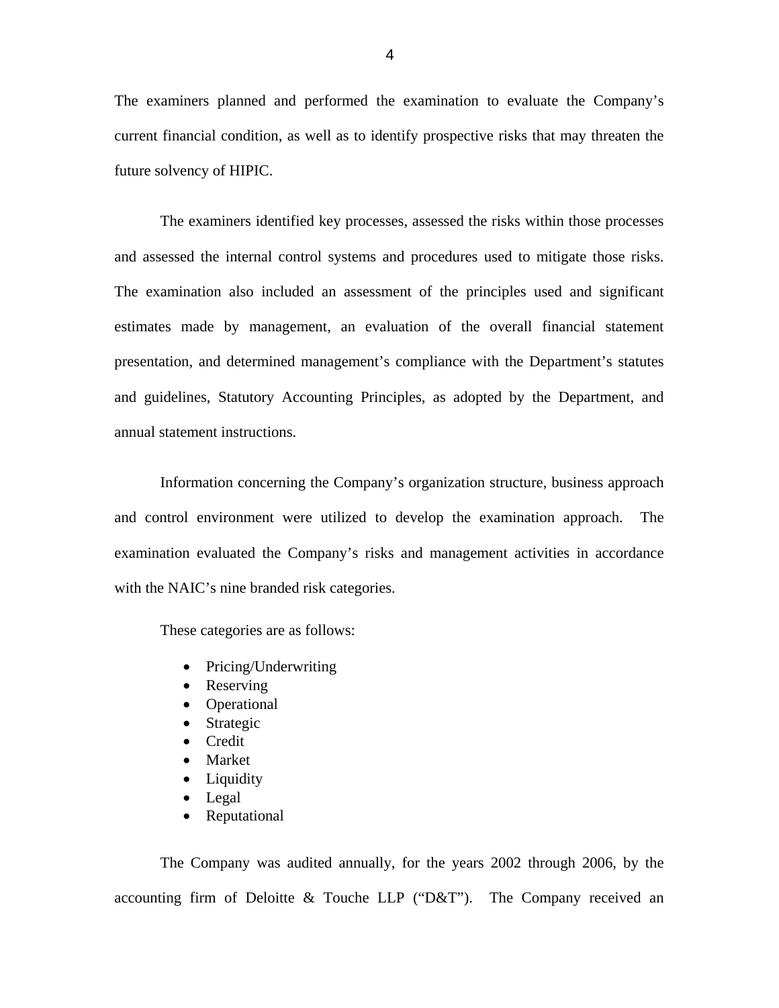The examiners planned and performed the examination to evaluate the Company's current financial condition, as well as to identify prospective risks that may threaten the future solvency of HIPIC.

The examiners identified key processes, assessed the risks within those processes and assessed the internal control systems and procedures used to mitigate those risks. The examination also included an assessment of the principles used and significant estimates made by management, an evaluation of the overall financial statement presentation, and determined management's compliance with the Department's statutes and guidelines, Statutory Accounting Principles, as adopted by the Department, and annual statement instructions.

Information concerning the Company's organization structure, business approach and control environment were utilized to develop the examination approach. The examination evaluated the Company's risks and management activities in accordance with the NAIC's nine branded risk categories.

These categories are as follows:

- Pricing/Underwriting
- Reserving
- Operational
- Strategic
- Credit
- Market
- Liquidity
- Legal
- Reputational

The Company was audited annually, for the years 2002 through 2006, by the accounting firm of Deloitte & Touche LLP ("D&T"). The Company received an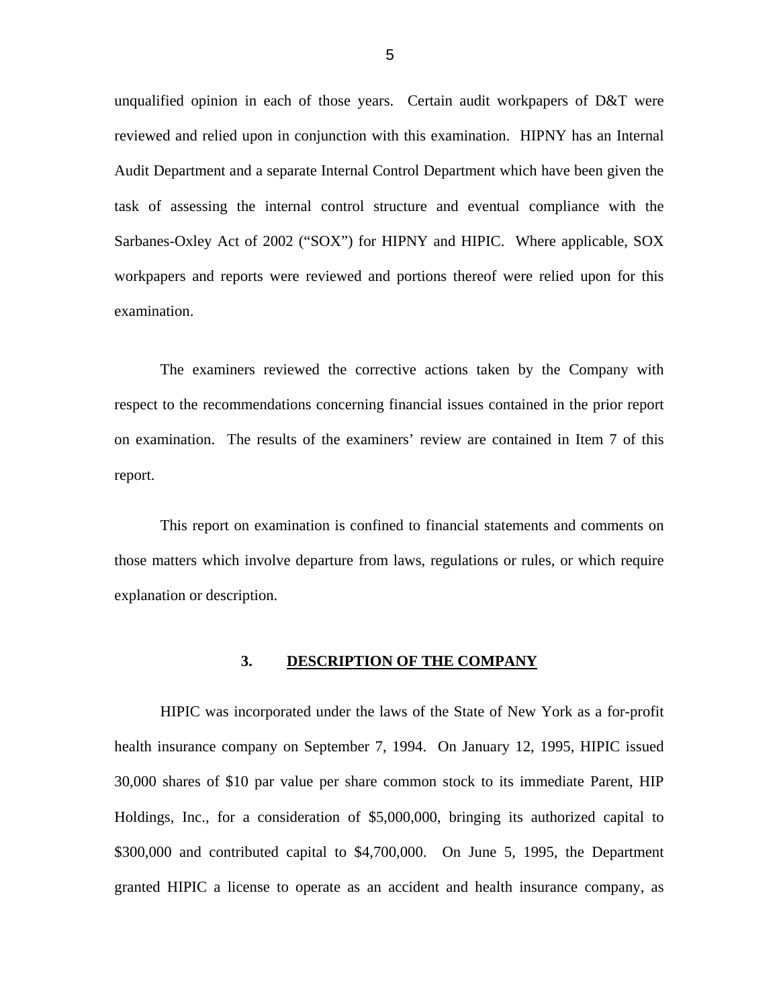<span id="page-6-0"></span>unqualified opinion in each of those years. Certain audit workpapers of D&T were reviewed and relied upon in conjunction with this examination. HIPNY has an Internal Audit Department and a separate Internal Control Department which have been given the task of assessing the internal control structure and eventual compliance with the Sarbanes-Oxley Act of 2002 ("SOX") for HIPNY and HIPIC. Where applicable, SOX workpapers and reports were reviewed and portions thereof were relied upon for this examination.

The examiners reviewed the corrective actions taken by the Company with respect to the recommendations concerning financial issues contained in the prior report on examination. The results of the examiners' review are contained in Item 7 of this report.

This report on examination is confined to financial statements and comments on those matters which involve departure from laws, regulations or rules, or which require explanation or description.

#### **3. DESCRIPTION OF THE COMPANY**

HIPIC was incorporated under the laws of the State of New York as a for-profit health insurance company on September 7, 1994. On January 12, 1995, HIPIC issued 30,000 shares of \$10 par value per share common stock to its immediate Parent, HIP Holdings, Inc., for a consideration of \$5,000,000, bringing its authorized capital to \$300,000 and contributed capital to \$4,700,000. On June 5, 1995, the Department granted HIPIC a license to operate as an accident and health insurance company, as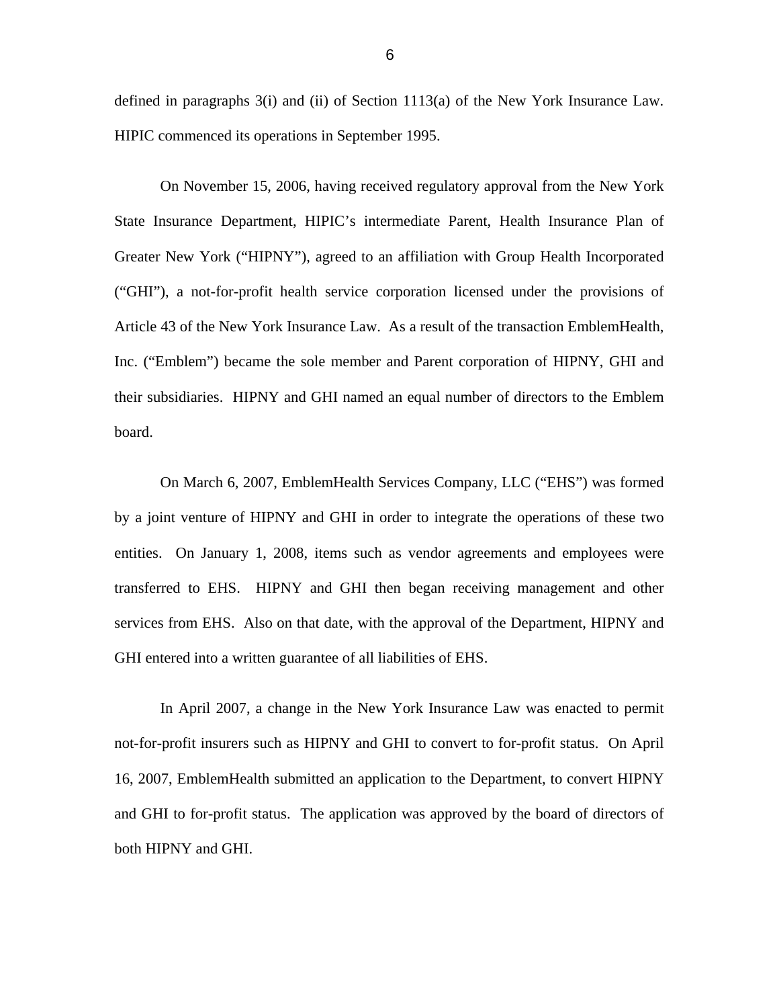defined in paragraphs 3(i) and (ii) of Section 1113(a) of the New York Insurance Law. HIPIC commenced its operations in September 1995.

On November 15, 2006, having received regulatory approval from the New York State Insurance Department, HIPIC's intermediate Parent, Health Insurance Plan of Greater New York ("HIPNY"), agreed to an affiliation with Group Health Incorporated ("GHI"), a not-for-profit health service corporation licensed under the provisions of Article 43 of the New York Insurance Law. As a result of the transaction EmblemHealth, Inc. ("Emblem") became the sole member and Parent corporation of HIPNY, GHI and their subsidiaries. HIPNY and GHI named an equal number of directors to the Emblem board.

On March 6, 2007, EmblemHealth Services Company, LLC ("EHS") was formed by a joint venture of HIPNY and GHI in order to integrate the operations of these two entities. On January 1, 2008, items such as vendor agreements and employees were transferred to EHS. HIPNY and GHI then began receiving management and other services from EHS. Also on that date, with the approval of the Department, HIPNY and GHI entered into a written guarantee of all liabilities of EHS.

In April 2007, a change in the New York Insurance Law was enacted to permit not-for-profit insurers such as HIPNY and GHI to convert to for-profit status. On April 16, 2007, EmblemHealth submitted an application to the Department, to convert HIPNY and GHI to for-profit status. The application was approved by the board of directors of both HIPNY and GHI.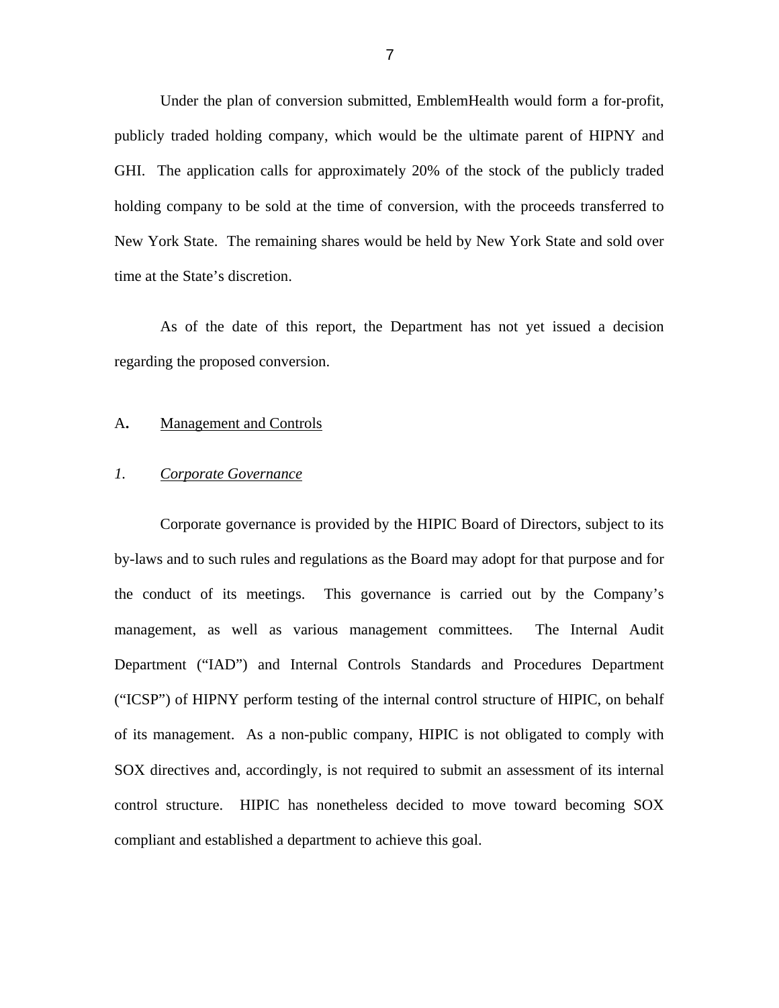<span id="page-8-0"></span>Under the plan of conversion submitted, EmblemHealth would form a for-profit, publicly traded holding company, which would be the ultimate parent of HIPNY and GHI. The application calls for approximately 20% of the stock of the publicly traded holding company to be sold at the time of conversion, with the proceeds transferred to New York State. The remaining shares would be held by New York State and sold over time at the State's discretion.

As of the date of this report, the Department has not yet issued a decision regarding the proposed conversion.

#### A**.** Management and Controls

#### *1. Corporate Governance*

Corporate governance is provided by the HIPIC Board of Directors, subject to its by-laws and to such rules and regulations as the Board may adopt for that purpose and for the conduct of its meetings. This governance is carried out by the Company's management, as well as various management committees. The Internal Audit Department ("IAD") and Internal Controls Standards and Procedures Department ("ICSP") of HIPNY perform testing of the internal control structure of HIPIC, on behalf of its management. As a non-public company, HIPIC is not obligated to comply with SOX directives and, accordingly, is not required to submit an assessment of its internal control structure. HIPIC has nonetheless decided to move toward becoming SOX compliant and established a department to achieve this goal.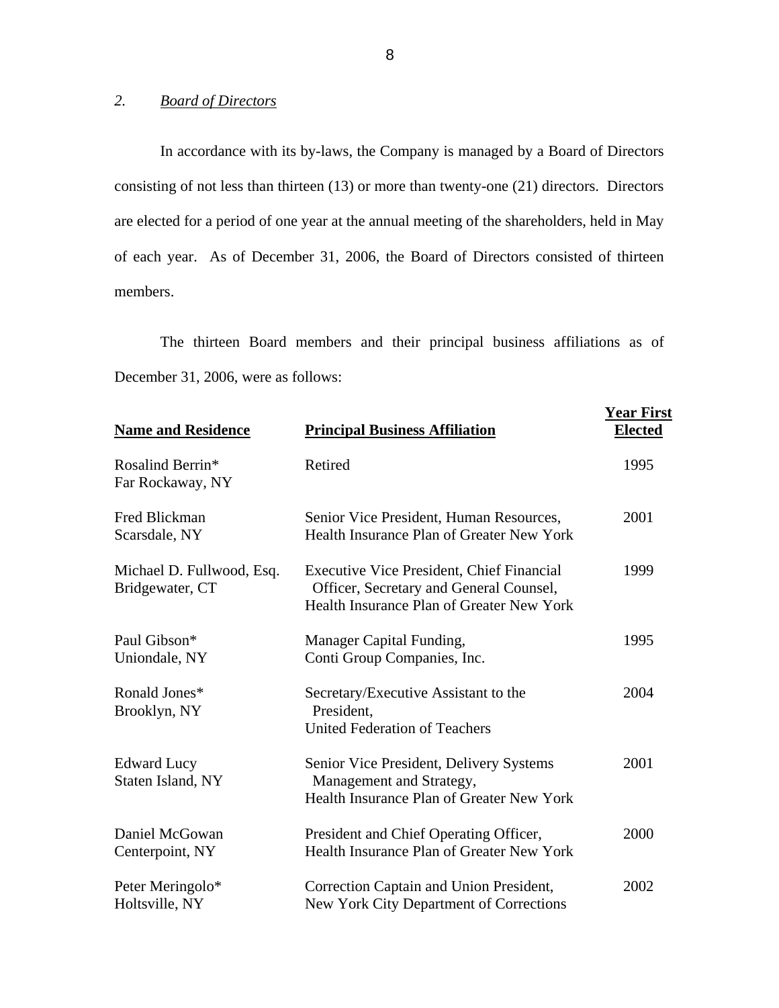#### *2. Board of Directors*

In accordance with its by-laws, the Company is managed by a Board of Directors consisting of not less than thirteen (13) or more than twenty-one (21) directors. Directors are elected for a period of one year at the annual meeting of the shareholders, held in May of each year. As of December 31, 2006, the Board of Directors consisted of thirteen members.

The thirteen Board members and their principal business affiliations as of December 31, 2006, were as follows:

| <b>Name and Residence</b>                    | <b>Principal Business Affiliation</b>                                                                                                    | <b>Year First</b><br><b>Elected</b> |
|----------------------------------------------|------------------------------------------------------------------------------------------------------------------------------------------|-------------------------------------|
| Rosalind Berrin*<br>Far Rockaway, NY         | Retired                                                                                                                                  | 1995                                |
| Fred Blickman<br>Scarsdale, NY               | Senior Vice President, Human Resources,<br>Health Insurance Plan of Greater New York                                                     | 2001                                |
| Michael D. Fullwood, Esq.<br>Bridgewater, CT | <b>Executive Vice President, Chief Financial</b><br>Officer, Secretary and General Counsel,<br>Health Insurance Plan of Greater New York | 1999                                |
| Paul Gibson*<br>Uniondale, NY                | Manager Capital Funding,<br>Conti Group Companies, Inc.                                                                                  | 1995                                |
| Ronald Jones*<br>Brooklyn, NY                | Secretary/Executive Assistant to the<br>President.<br><b>United Federation of Teachers</b>                                               | 2004                                |
| <b>Edward Lucy</b><br>Staten Island, NY      | Senior Vice President, Delivery Systems<br>Management and Strategy,<br>Health Insurance Plan of Greater New York                         | 2001                                |
| Daniel McGowan<br>Centerpoint, NY            | President and Chief Operating Officer,<br>Health Insurance Plan of Greater New York                                                      | 2000                                |
| Peter Meringolo*<br>Holtsville, NY           | Correction Captain and Union President,<br>New York City Department of Corrections                                                       | 2002                                |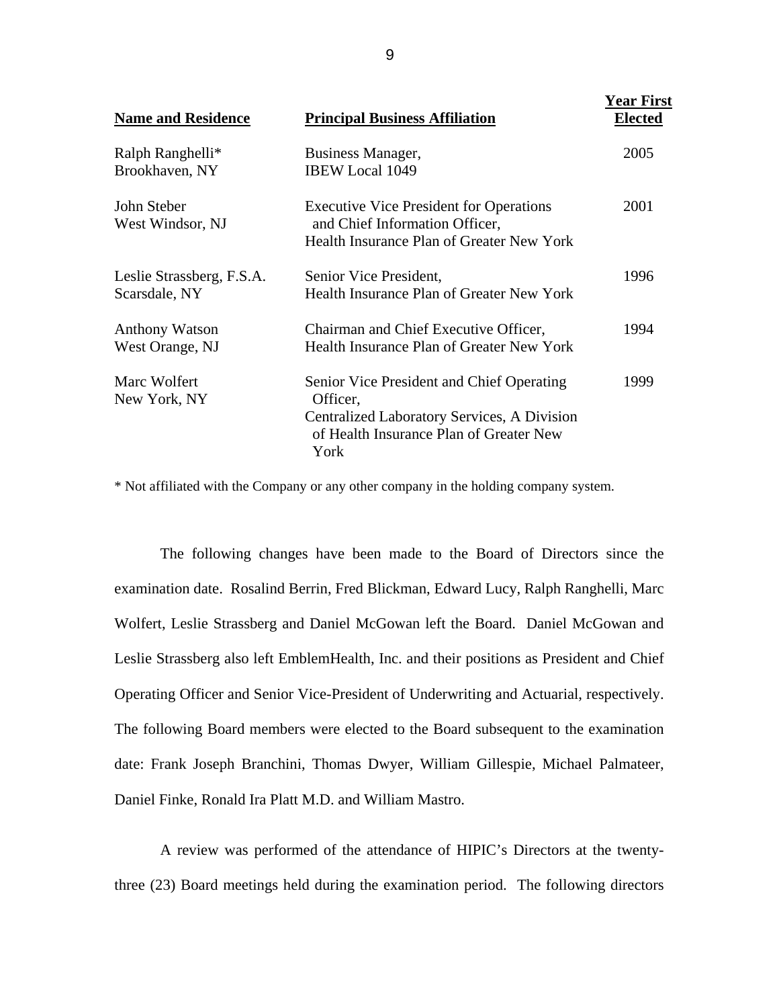| <b>Name and Residence</b>                  | <b>Principal Business Affiliation</b>                                                                                                                          | <b>Year First</b><br><b>Elected</b> |
|--------------------------------------------|----------------------------------------------------------------------------------------------------------------------------------------------------------------|-------------------------------------|
| Ralph Ranghelli*<br>Brookhaven, NY         | Business Manager,<br><b>IBEW Local 1049</b>                                                                                                                    | 2005                                |
| John Steber<br>West Windsor, NJ            | <b>Executive Vice President for Operations</b><br>and Chief Information Officer,<br>Health Insurance Plan of Greater New York                                  | 2001                                |
| Leslie Strassberg, F.S.A.<br>Scarsdale, NY | Senior Vice President,<br><b>Health Insurance Plan of Greater New York</b>                                                                                     | 1996                                |
| <b>Anthony Watson</b><br>West Orange, NJ   | Chairman and Chief Executive Officer,<br><b>Health Insurance Plan of Greater New York</b>                                                                      | 1994                                |
| Marc Wolfert<br>New York, NY               | Senior Vice President and Chief Operating<br>Officer,<br><b>Centralized Laboratory Services, A Division</b><br>of Health Insurance Plan of Greater New<br>York | 1999                                |

\* Not affiliated with the Company or any other company in the holding company system.

Operating Officer and Senior Vice-President of Underwriting and Actuarial, respectively. The following changes have been made to the Board of Directors since the examination date. Rosalind Berrin, Fred Blickman, Edward Lucy, Ralph Ranghelli, Marc Wolfert, Leslie Strassberg and Daniel McGowan left the Board. Daniel McGowan and Leslie Strassberg also left EmblemHealth, Inc. and their positions as President and Chief The following Board members were elected to the Board subsequent to the examination date: Frank Joseph Branchini, Thomas Dwyer, William Gillespie, Michael Palmateer, Daniel Finke, Ronald Ira Platt M.D. and William Mastro.

A review was performed of the attendance of HIPIC's Directors at the twentythree (23) Board meetings held during the examination period. The following directors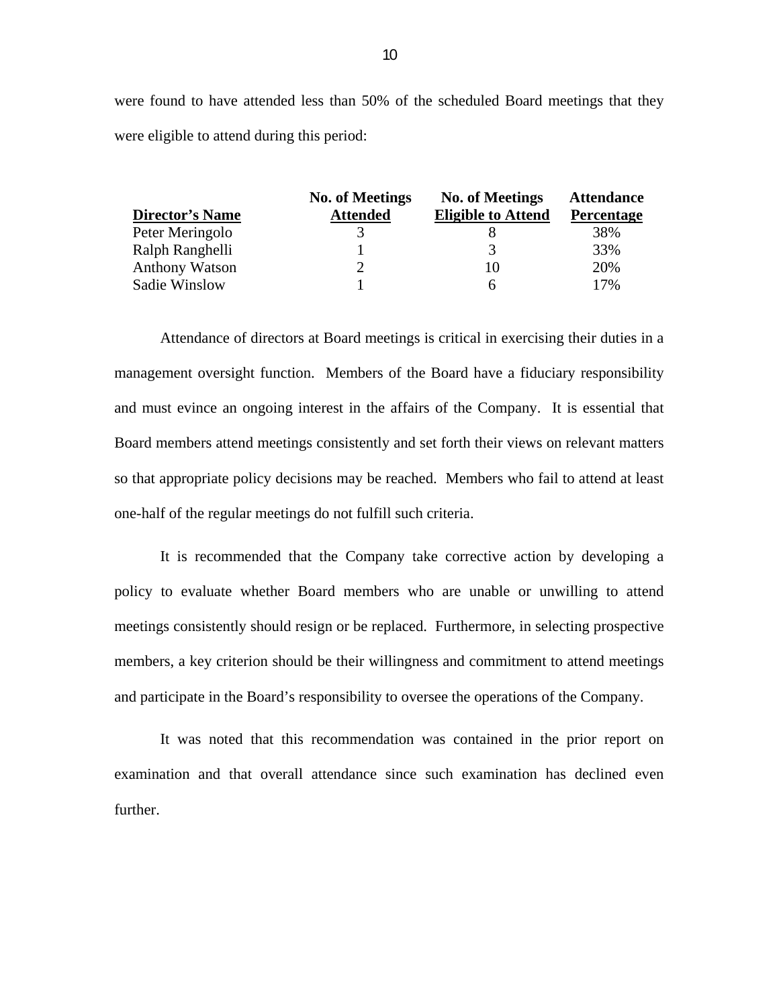were found to have attended less than 50% of the scheduled Board meetings that they were eligible to attend during this period:

|                        | <b>No. of Meetings</b> | <b>No. of Meetings</b>    | <b>Attendance</b> |
|------------------------|------------------------|---------------------------|-------------------|
| <b>Director's Name</b> | <b>Attended</b>        | <b>Eligible to Attend</b> | Percentage        |
| Peter Meringolo        |                        |                           | 38%               |
| Ralph Ranghelli        |                        | 3                         | 33%               |
| <b>Anthony Watson</b>  |                        | 10                        | 20%               |
| Sadie Winslow          |                        | h                         | 17%               |

Attendance of directors at Board meetings is critical in exercising their duties in a management oversight function. Members of the Board have a fiduciary responsibility and must evince an ongoing interest in the affairs of the Company. It is essential that Board members attend meetings consistently and set forth their views on relevant matters so that appropriate policy decisions may be reached. Members who fail to attend at least one-half of the regular meetings do not fulfill such criteria.

It is recommended that the Company take corrective action by developing a policy to evaluate whether Board members who are unable or unwilling to attend meetings consistently should resign or be replaced. Furthermore, in selecting prospective members, a key criterion should be their willingness and commitment to attend meetings and participate in the Board's responsibility to oversee the operations of the Company.

It was noted that this recommendation was contained in the prior report on examination and that overall attendance since such examination has declined even further.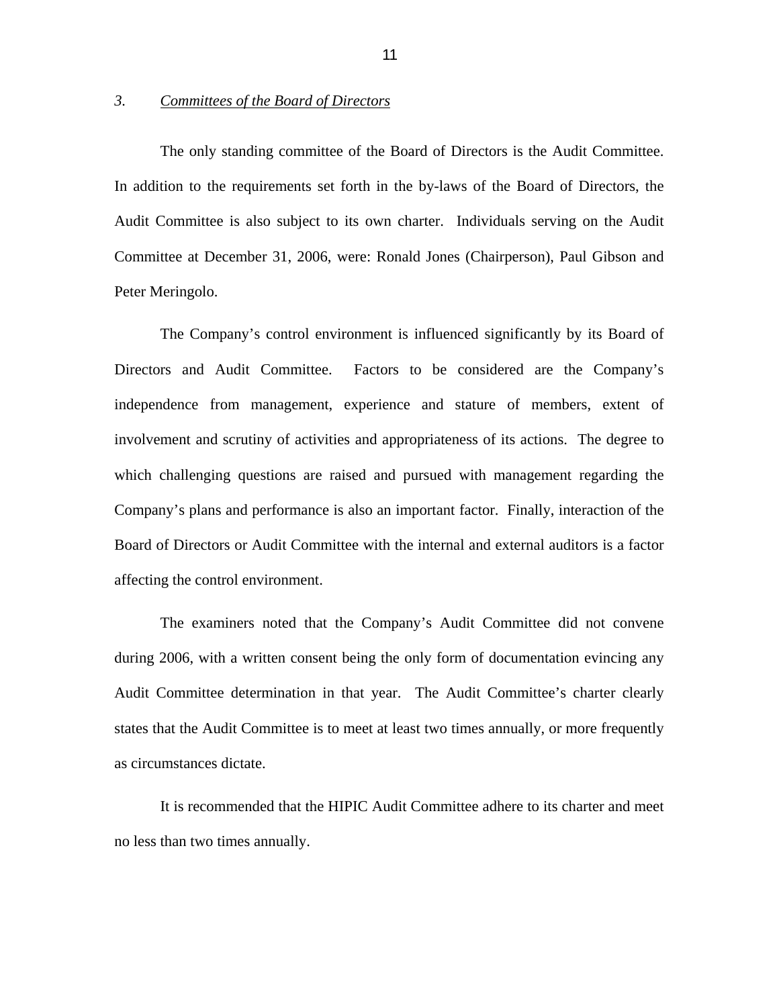#### <span id="page-12-0"></span>*3. Committees of the Board of Directors*

The only standing committee of the Board of Directors is the Audit Committee. In addition to the requirements set forth in the by-laws of the Board of Directors, the Audit Committee is also subject to its own charter. Individuals serving on the Audit Committee at December 31, 2006, were: Ronald Jones (Chairperson), Paul Gibson and Peter Meringolo.

The Company's control environment is influenced significantly by its Board of Directors and Audit Committee. Factors to be considered are the Company's independence from management, experience and stature of members, extent of involvement and scrutiny of activities and appropriateness of its actions. The degree to which challenging questions are raised and pursued with management regarding the Company's plans and performance is also an important factor. Finally, interaction of the Board of Directors or Audit Committee with the internal and external auditors is a factor affecting the control environment.

as circumstances dictate. The examiners noted that the Company's Audit Committee did not convene during 2006, with a written consent being the only form of documentation evincing any Audit Committee determination in that year. The Audit Committee's charter clearly states that the Audit Committee is to meet at least two times annually, or more frequently

It is recommended that the HIPIC Audit Committee adhere to its charter and meet no less than two times annually.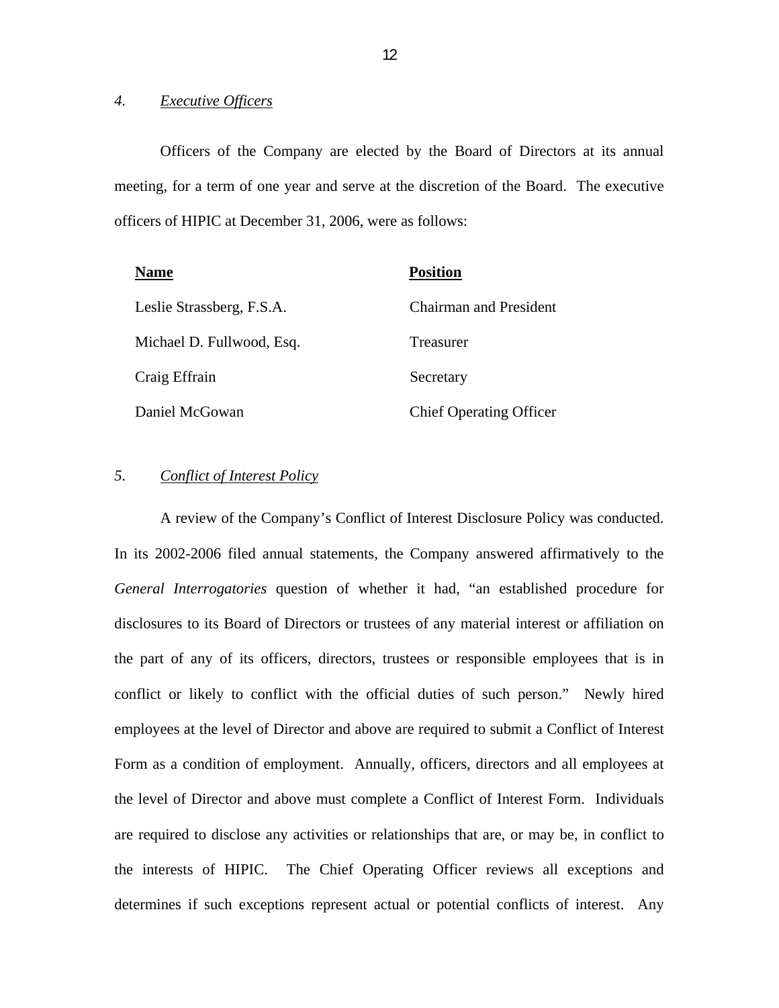#### *4. Executive Officers*

Officers of the Company are elected by the Board of Directors at its annual meeting, for a term of one year and serve at the discretion of the Board. The executive officers of HIPIC at December 31, 2006, were as follows:

| <b>Name</b>               | <b>Position</b>                |
|---------------------------|--------------------------------|
| Leslie Strassberg, F.S.A. | <b>Chairman and President</b>  |
| Michael D. Fullwood, Esq. | Treasurer                      |
| Craig Effrain             | Secretary                      |
| Daniel McGowan            | <b>Chief Operating Officer</b> |

#### *5. Conflict of Interest Policy*

A review of the Company's Conflict of Interest Disclosure Policy was conducted. In its 2002-2006 filed annual statements, the Company answered affirmatively to the *General Interrogatories* question of whether it had, "an established procedure for disclosures to its Board of Directors or trustees of any material interest or affiliation on the part of any of its officers, directors, trustees or responsible employees that is in conflict or likely to conflict with the official duties of such person." Newly hired employees at the level of Director and above are required to submit a Conflict of Interest Form as a condition of employment. Annually, officers, directors and all employees at the level of Director and above must complete a Conflict of Interest Form. Individuals are required to disclose any activities or relationships that are, or may be, in conflict to the interests of HIPIC. The Chief Operating Officer reviews all exceptions and determines if such exceptions represent actual or potential conflicts of interest. Any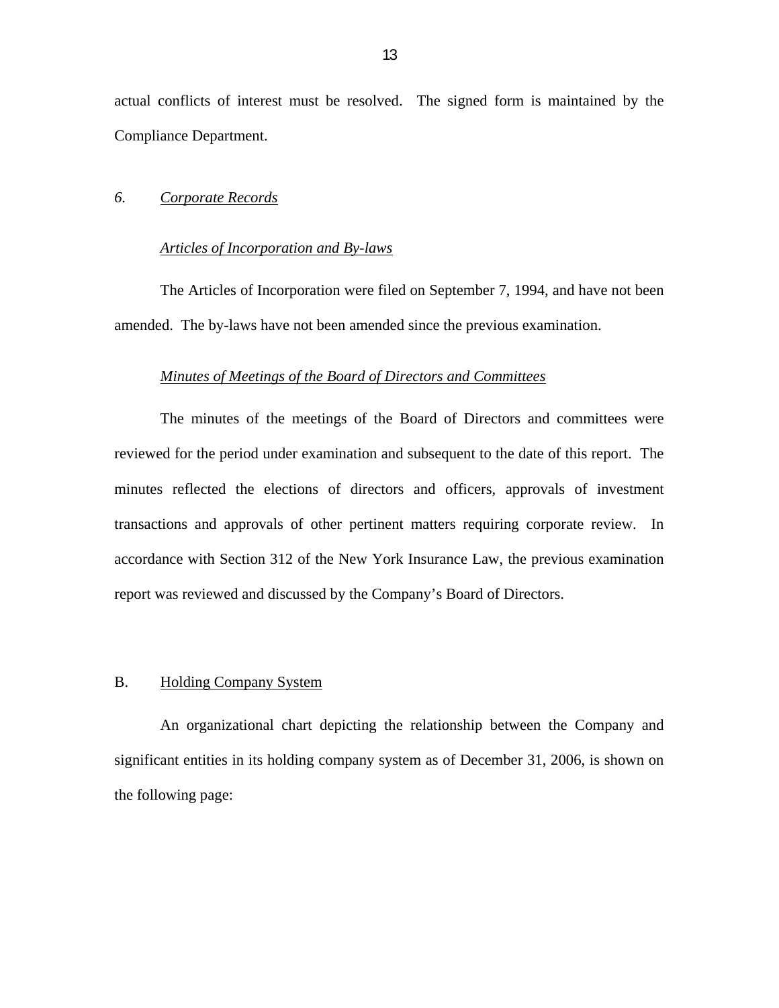<span id="page-14-0"></span>actual conflicts of interest must be resolved. The signed form is maintained by the Compliance Department.

#### *6. Corporate Records*

#### *Articles of Incorporation and By-laws*

The Articles of Incorporation were filed on September 7, 1994, and have not been amended. The by-laws have not been amended since the previous examination.

#### *Minutes of Meetings of the Board of Directors and Committees*

The minutes of the meetings of the Board of Directors and committees were reviewed for the period under examination and subsequent to the date of this report. The minutes reflected the elections of directors and officers, approvals of investment transactions and approvals of other pertinent matters requiring corporate review. In accordance with Section 312 of the New York Insurance Law, the previous examination report was reviewed and discussed by the Company's Board of Directors.

#### B. Holding Company System

An organizational chart depicting the relationship between the Company and significant entities in its holding company system as of December 31, 2006, is shown on the following page: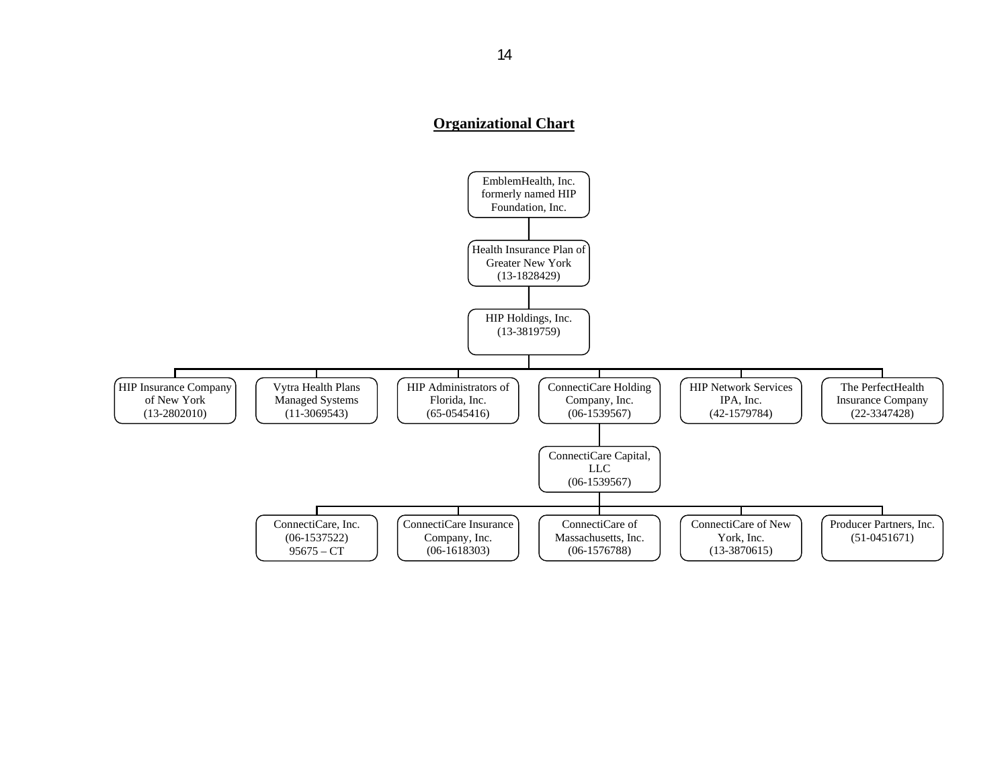#### **Organizational Chart**

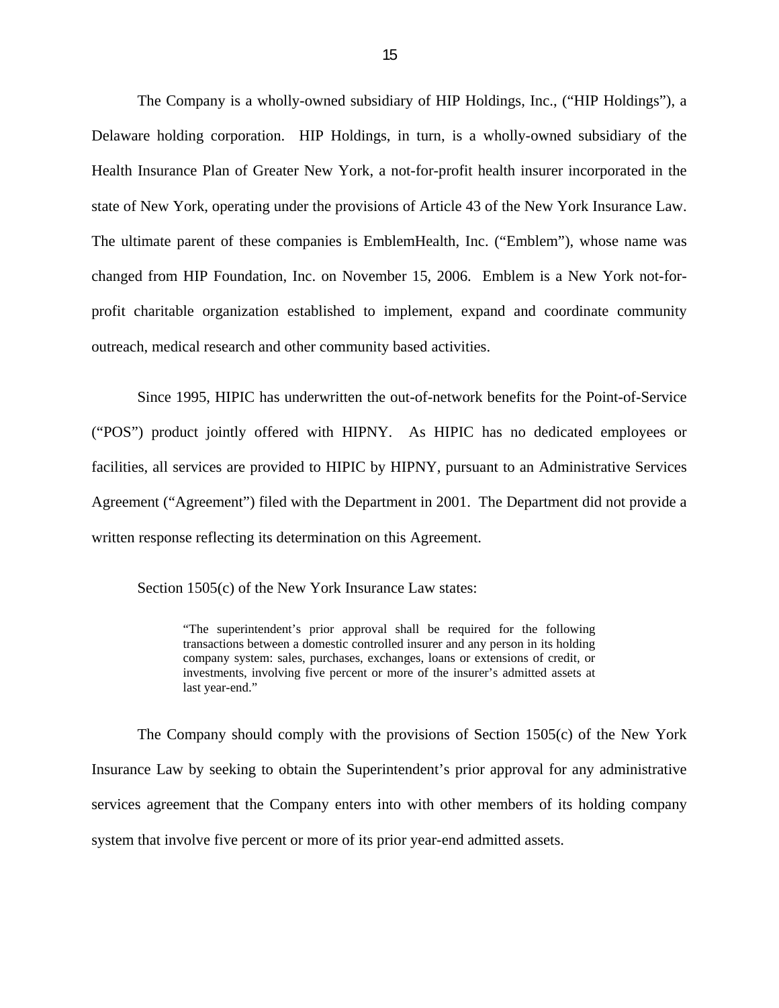The Company is a wholly-owned subsidiary of HIP Holdings, Inc., ("HIP Holdings"), a Delaware holding corporation. HIP Holdings, in turn, is a wholly-owned subsidiary of the Health Insurance Plan of Greater New York, a not-for-profit health insurer incorporated in the state of New York, operating under the provisions of Article 43 of the New York Insurance Law. The ultimate parent of these companies is EmblemHealth, Inc. ("Emblem"), whose name was changed from HIP Foundation, Inc. on November 15, 2006. Emblem is a New York not-forprofit charitable organization established to implement, expand and coordinate community outreach, medical research and other community based activities.

Since 1995, HIPIC has underwritten the out-of-network benefits for the Point-of-Service ("POS") product jointly offered with HIPNY. As HIPIC has no dedicated employees or facilities, all services are provided to HIPIC by HIPNY, pursuant to an Administrative Services Agreement ("Agreement") filed with the Department in 2001. The Department did not provide a written response reflecting its determination on this Agreement.

Section 1505(c) of the New York Insurance Law states:

 transactions between a domestic controlled insurer and any person in its holding "The superintendent's prior approval shall be required for the following company system: sales, purchases, exchanges, loans or extensions of credit, or investments, involving five percent or more of the insurer's admitted assets at last year-end."

The Company should comply with the provisions of Section 1505(c) of the New York Insurance Law by seeking to obtain the Superintendent's prior approval for any administrative services agreement that the Company enters into with other members of its holding company system that involve five percent or more of its prior year-end admitted assets.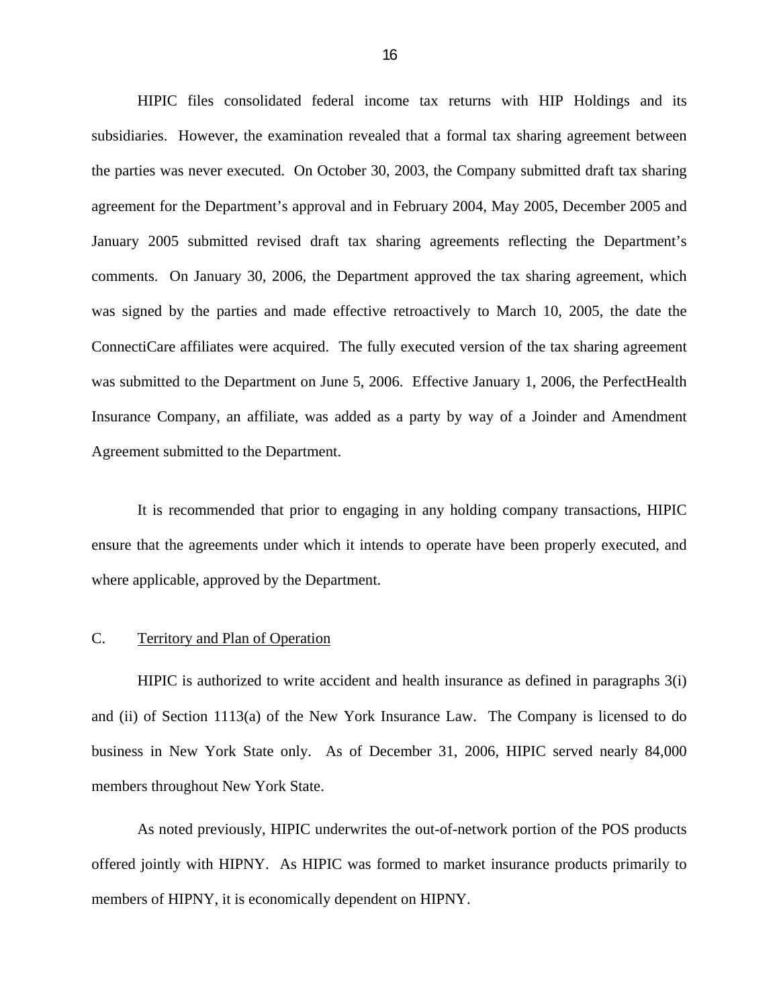<span id="page-17-0"></span>HIPIC files consolidated federal income tax returns with HIP Holdings and its subsidiaries. However, the examination revealed that a formal tax sharing agreement between the parties was never executed. On October 30, 2003, the Company submitted draft tax sharing agreement for the Department's approval and in February 2004, May 2005, December 2005 and January 2005 submitted revised draft tax sharing agreements reflecting the Department's comments. On January 30, 2006, the Department approved the tax sharing agreement, which was signed by the parties and made effective retroactively to March 10, 2005, the date the ConnectiCare affiliates were acquired. The fully executed version of the tax sharing agreement was submitted to the Department on June 5, 2006. Effective January 1, 2006, the PerfectHealth Insurance Company, an affiliate, was added as a party by way of a Joinder and Amendment Agreement submitted to the Department.

It is recommended that prior to engaging in any holding company transactions, HIPIC ensure that the agreements under which it intends to operate have been properly executed, and where applicable, approved by the Department.

#### C. Territory and Plan of Operation

HIPIC is authorized to write accident and health insurance as defined in paragraphs 3(i) and (ii) of Section 1113(a) of the New York Insurance Law. The Company is licensed to do business in New York State only. As of December 31, 2006, HIPIC served nearly 84,000 members throughout New York State.

As noted previously, HIPIC underwrites the out-of-network portion of the POS products offered jointly with HIPNY. As HIPIC was formed to market insurance products primarily to members of HIPNY, it is economically dependent on HIPNY.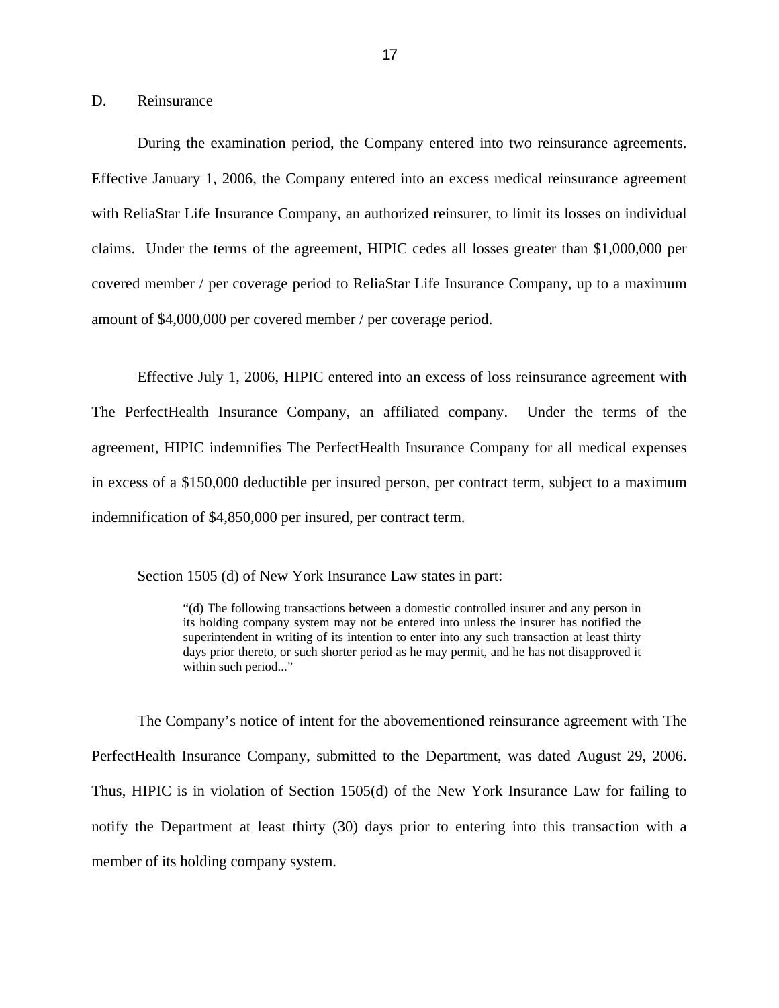<span id="page-18-0"></span>D. Reinsurance

During the examination period, the Company entered into two reinsurance agreements. Effective January 1, 2006, the Company entered into an excess medical reinsurance agreement with ReliaStar Life Insurance Company, an authorized reinsurer, to limit its losses on individual claims. Under the terms of the agreement, HIPIC cedes all losses greater than \$1,000,000 per covered member / per coverage period to ReliaStar Life Insurance Company, up to a maximum amount of \$4,000,000 per covered member / per coverage period.

Effective July 1, 2006, HIPIC entered into an excess of loss reinsurance agreement with The PerfectHealth Insurance Company, an affiliated company. Under the terms of the agreement, HIPIC indemnifies The PerfectHealth Insurance Company for all medical expenses in excess of a \$150,000 deductible per insured person, per contract term, subject to a maximum indemnification of \$4,850,000 per insured, per contract term.

Section 1505 (d) of New York Insurance Law states in part:

 "(d) The following transactions between a domestic controlled insurer and any person in its holding company system may not be entered into unless the insurer has notified the superintendent in writing of its intention to enter into any such transaction at least thirty days prior thereto, or such shorter period as he may permit, and he has not disapproved it within such period..."

The Company's notice of intent for the abovementioned reinsurance agreement with The PerfectHealth Insurance Company, submitted to the Department, was dated August 29, 2006. Thus, HIPIC is in violation of Section 1505(d) of the New York Insurance Law for failing to notify the Department at least thirty (30) days prior to entering into this transaction with a member of its holding company system.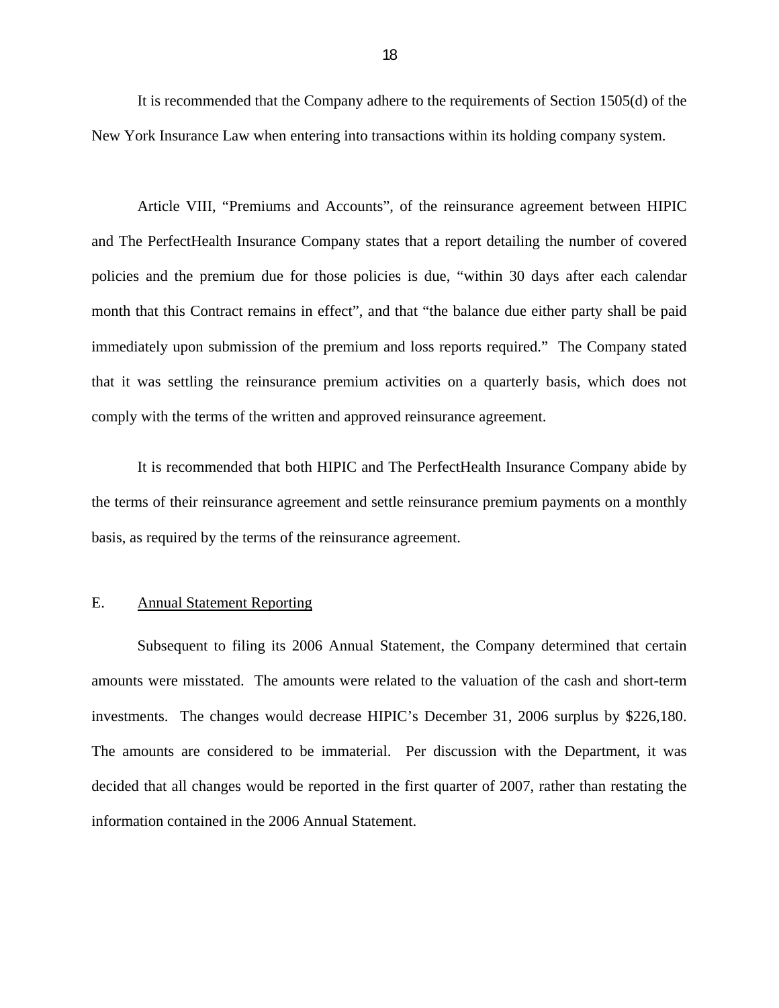<span id="page-19-0"></span>It is recommended that the Company adhere to the requirements of Section 1505(d) of the New York Insurance Law when entering into transactions within its holding company system.

Article VIII, "Premiums and Accounts", of the reinsurance agreement between HIPIC and The PerfectHealth Insurance Company states that a report detailing the number of covered policies and the premium due for those policies is due, "within 30 days after each calendar month that this Contract remains in effect", and that "the balance due either party shall be paid immediately upon submission of the premium and loss reports required." The Company stated that it was settling the reinsurance premium activities on a quarterly basis, which does not comply with the terms of the written and approved reinsurance agreement.

It is recommended that both HIPIC and The PerfectHealth Insurance Company abide by the terms of their reinsurance agreement and settle reinsurance premium payments on a monthly basis, as required by the terms of the reinsurance agreement.

#### E. Annual Statement Reporting

Subsequent to filing its 2006 Annual Statement, the Company determined that certain amounts were misstated. The amounts were related to the valuation of the cash and short-term investments. The changes would decrease HIPIC's December 31, 2006 surplus by \$226,180. The amounts are considered to be immaterial. Per discussion with the Department, it was decided that all changes would be reported in the first quarter of 2007, rather than restating the information contained in the 2006 Annual Statement.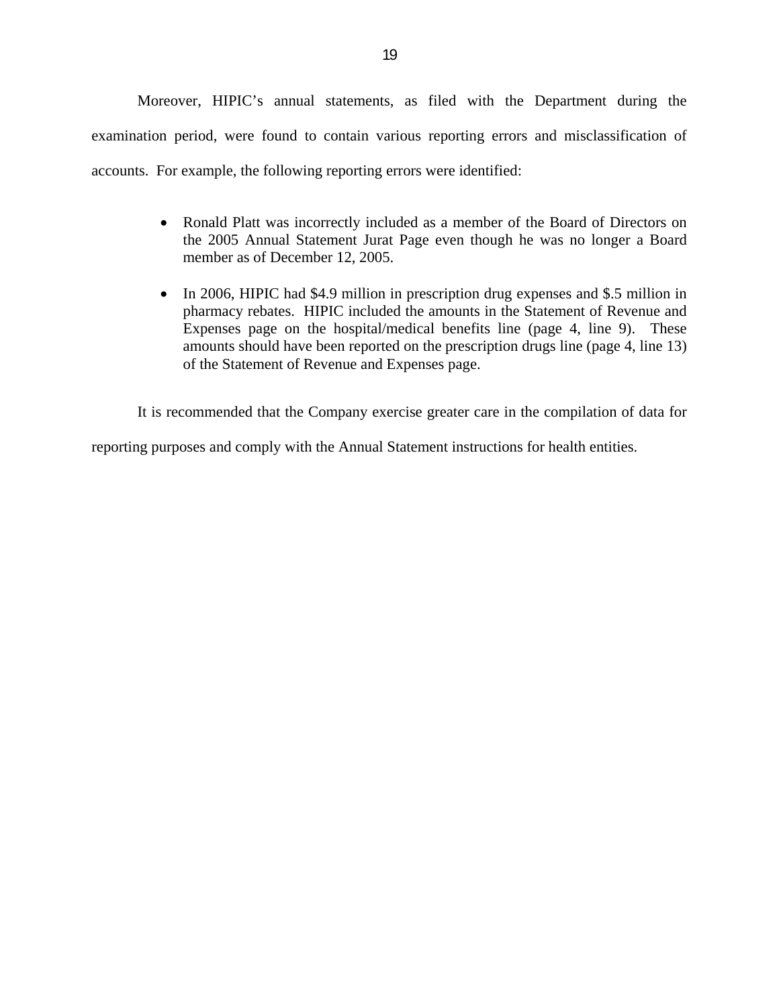Moreover, HIPIC's annual statements, as filed with the Department during the examination period, were found to contain various reporting errors and misclassification of accounts. For example, the following reporting errors were identified:

- Ronald Platt was incorrectly included as a member of the Board of Directors on the 2005 Annual Statement Jurat Page even though he was no longer a Board member as of December 12, 2005.
- In 2006, HIPIC had \$4.9 million in prescription drug expenses and \$.5 million in pharmacy rebates. HIPIC included the amounts in the Statement of Revenue and Expenses page on the hospital/medical benefits line (page 4, line 9). These amounts should have been reported on the prescription drugs line (page 4, line 13) of the Statement of Revenue and Expenses page.

It is recommended that the Company exercise greater care in the compilation of data for

reporting purposes and comply with the Annual Statement instructions for health entities.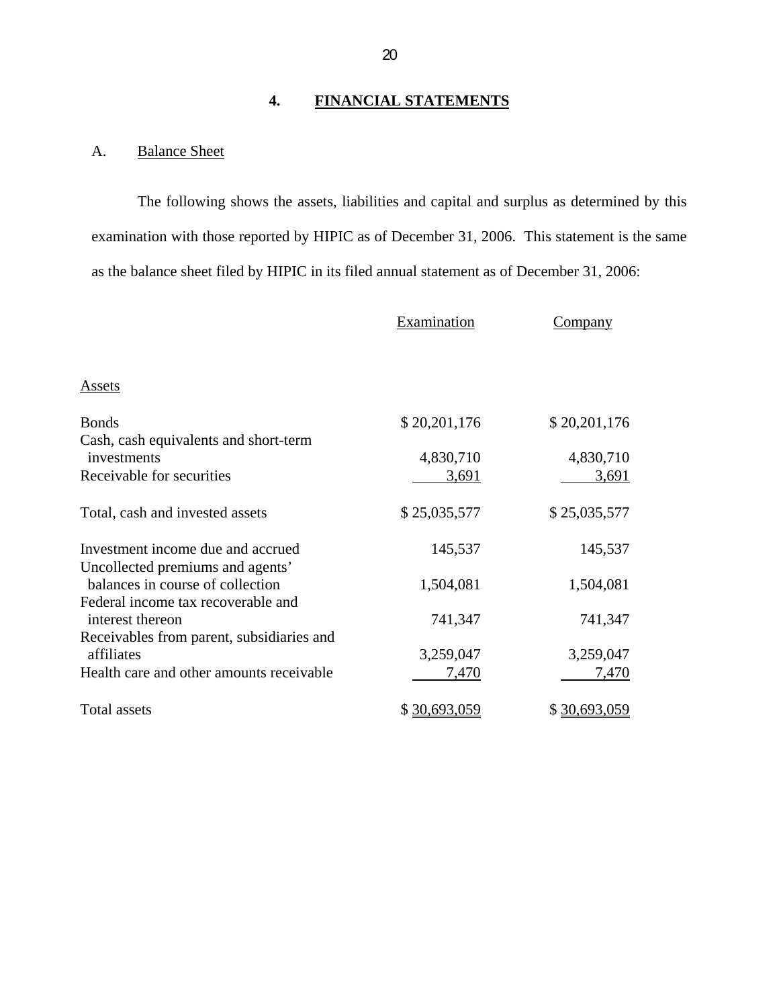#### **4. FINANCIAL STATEMENTS**

### <span id="page-21-0"></span>**Balance Sheet**

A. Balance Sheet<br>The following shows the assets, liabilities and capital and surplus as determined by this examination with those reported by HIPIC as of December 31, 2006. This statement is the same as the balance sheet filed by HIPIC in its filed annual statement as of December 31, 2006:

|                                                                                   | Examination        | Company            |
|-----------------------------------------------------------------------------------|--------------------|--------------------|
| <b>Assets</b>                                                                     |                    |                    |
| <b>Bonds</b>                                                                      | \$20,201,176       | \$20,201,176       |
| Cash, cash equivalents and short-term<br>investments<br>Receivable for securities | 4,830,710<br>3,691 | 4,830,710<br>3,691 |
| Total, cash and invested assets                                                   | \$25,035,577       | \$25,035,577       |
| Investment income due and accrued<br>Uncollected premiums and agents'             | 145,537            | 145,537            |
| balances in course of collection<br>Federal income tax recoverable and            | 1,504,081          | 1,504,081          |
| interest thereon<br>Receivables from parent, subsidiaries and                     | 741,347            | 741,347            |
| affiliates                                                                        | 3,259,047          | 3,259,047          |
| Health care and other amounts receivable                                          | 7,470              | 7,470              |
| Total assets                                                                      | \$30,693,059       | \$30,693,059       |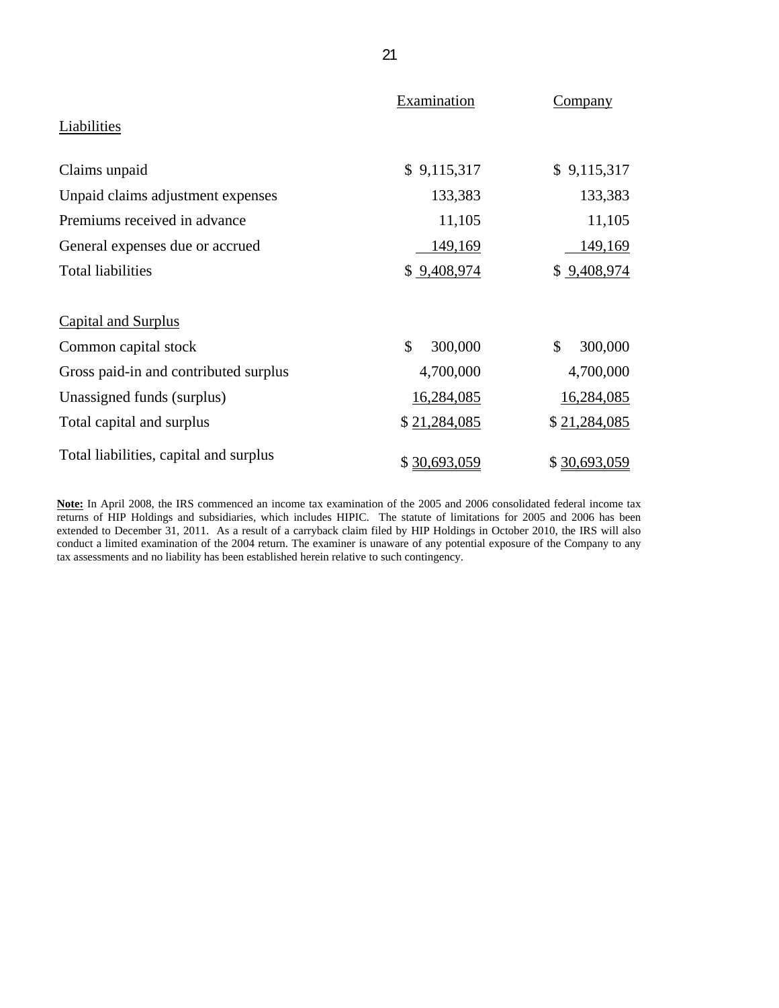|                                        | Examination   | Company                  |
|----------------------------------------|---------------|--------------------------|
| Liabilities                            |               |                          |
| Claims unpaid                          | \$9,115,317   | \$9,115,317              |
| Unpaid claims adjustment expenses      | 133,383       | 133,383                  |
| Premiums received in advance           | 11,105        | 11,105                   |
| General expenses due or accrued        | 149,169       | 149,169                  |
| <b>Total liabilities</b>               | \$9,408,974   | \$9,408,974              |
| <b>Capital and Surplus</b>             |               |                          |
| Common capital stock                   | \$<br>300,000 | $\mathcal{S}$<br>300,000 |
| Gross paid-in and contributed surplus  | 4,700,000     | 4,700,000                |
| Unassigned funds (surplus)             | 16,284,085    | 16,284,085               |
| Total capital and surplus              | \$21,284,085  | \$21,284,085             |
| Total liabilities, capital and surplus | \$30,693,059  | \$30,693,059             |

**Note:** In April 2008, the IRS commenced an income tax examination of the 2005 and 2006 consolidated federal income tax returns of HIP Holdings and subsidiaries, which includes HIPIC. The statute of limitations for 2005 and 2006 has been extended to December 31, 2011. As a result of a carryback claim filed by HIP Holdings in October 2010, the IRS will also conduct a limited examination of the 2004 return. The examiner is unaware of any potential exposure of the Company to any tax assessments and no liability has been established herein relative to such contingency.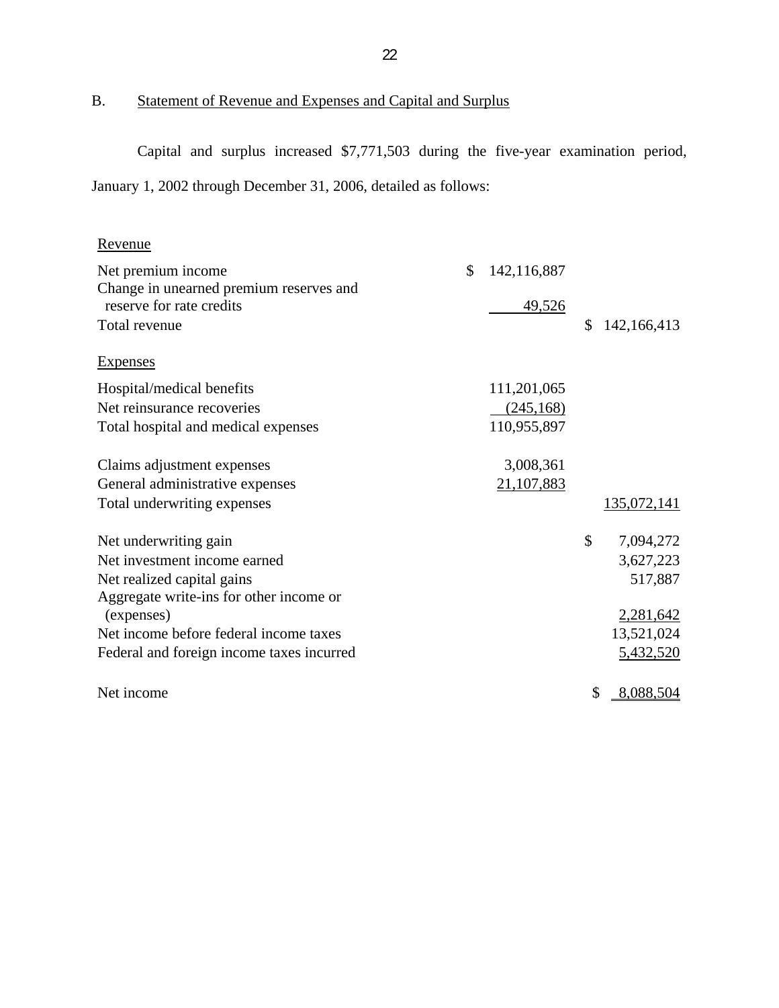## B. Statement of Revenue and Expenses and Capital and Surplus

Capital and surplus increased \$7,771,503 during the five-year examination period, January 1, 2002 through December 31, 2006, detailed as follows:

| Revenue                                   |                   |                    |
|-------------------------------------------|-------------------|--------------------|
| Net premium income                        | \$<br>142,116,887 |                    |
| Change in unearned premium reserves and   |                   |                    |
| reserve for rate credits                  | 49,526            |                    |
| Total revenue                             |                   | \$<br>142,166,413  |
| <b>Expenses</b>                           |                   |                    |
| Hospital/medical benefits                 | 111,201,065       |                    |
| Net reinsurance recoveries                | (245, 168)        |                    |
| Total hospital and medical expenses       | 110,955,897       |                    |
| Claims adjustment expenses                | 3,008,361         |                    |
| General administrative expenses           | 21,107,883        |                    |
| Total underwriting expenses               |                   | <u>135,072,141</u> |
| Net underwriting gain                     |                   | \$<br>7,094,272    |
| Net investment income earned              |                   | 3,627,223          |
| Net realized capital gains                |                   | 517,887            |
| Aggregate write-ins for other income or   |                   |                    |
| (expenses)                                |                   | 2,281,642          |
| Net income before federal income taxes    |                   | 13,521,024         |
| Federal and foreign income taxes incurred |                   | 5,432,520          |
| Net income                                |                   | \$<br>8,088,504    |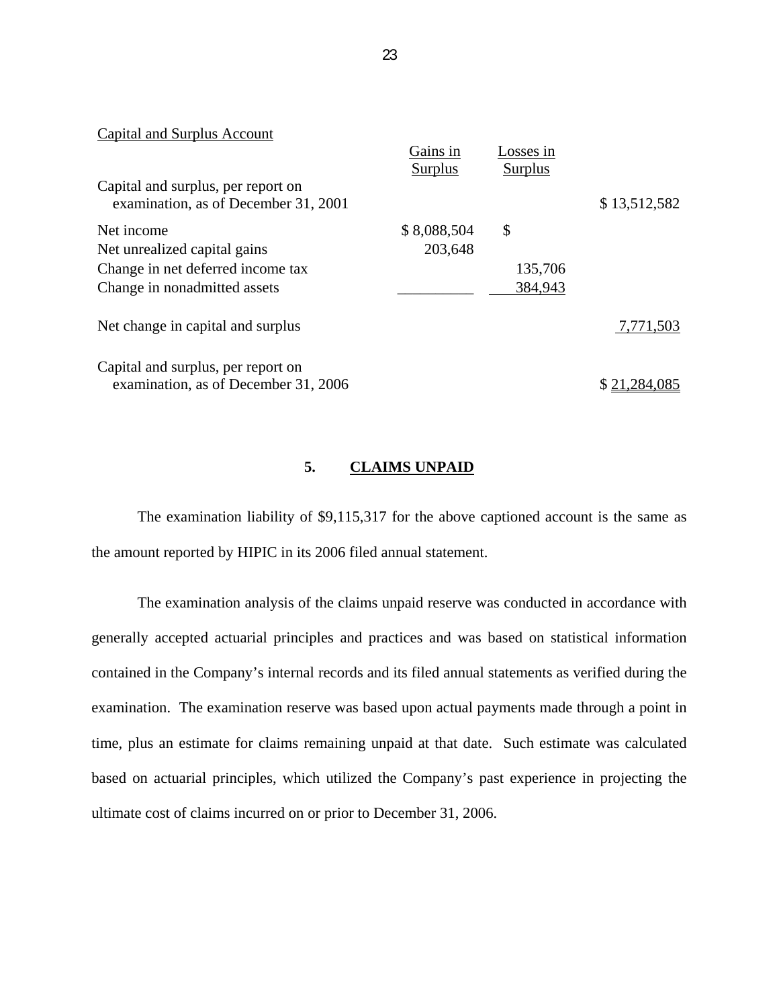| Capital and Surplus Account          |             |           |              |
|--------------------------------------|-------------|-----------|--------------|
|                                      | Gains in    | Losses in |              |
|                                      | Surplus     | Surplus   |              |
| Capital and surplus, per report on   |             |           |              |
| examination, as of December 31, 2001 |             |           | \$13,512,582 |
| Net income                           | \$8,088,504 | \$        |              |
| Net unrealized capital gains         | 203,648     |           |              |
| Change in net deferred income tax    |             | 135,706   |              |
| Change in nonadmitted assets         |             | 384,943   |              |
| Net change in capital and surplus    |             |           | 7,771,503    |
| Capital and surplus, per report on   |             |           |              |
| examination, as of December 31, 2006 |             |           |              |

#### **5. CLAIMS UNPAID**

The examination liability of \$9,115,317 for the above captioned account is the same as the amount reported by HIPIC in its 2006 filed annual statement.

The examination analysis of the claims unpaid reserve was conducted in accordance with generally accepted actuarial principles and practices and was based on statistical information contained in the Company's internal records and its filed annual statements as verified during the examination. The examination reserve was based upon actual payments made through a point in time, plus an estimate for claims remaining unpaid at that date. Such estimate was calculated based on actuarial principles, which utilized the Company's past experience in projecting the ultimate cost of claims incurred on or prior to December 31, 2006.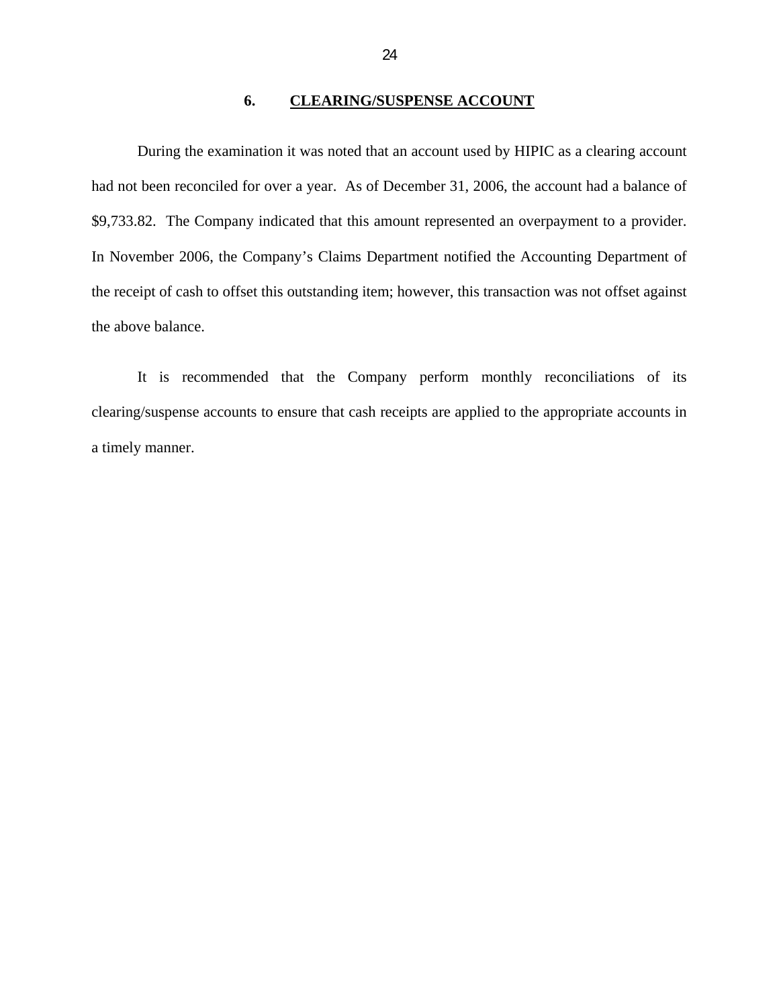#### **6. CLEARING/SUSPENSE ACCOUNT**

<span id="page-25-0"></span>During the examination it was noted that an account used by HIPIC as a clearing account had not been reconciled for over a year. As of December 31, 2006, the account had a balance of [\\$9,733.82.](https://9,733.82) The Company indicated that this amount represented an overpayment to a provider. In November 2006, the Company's Claims Department notified the Accounting Department of the receipt of cash to offset this outstanding item; however, this transaction was not offset against the above balance.

It is recommended that the Company perform monthly reconciliations of its clearing/suspense accounts to ensure that cash receipts are applied to the appropriate accounts in a timely manner.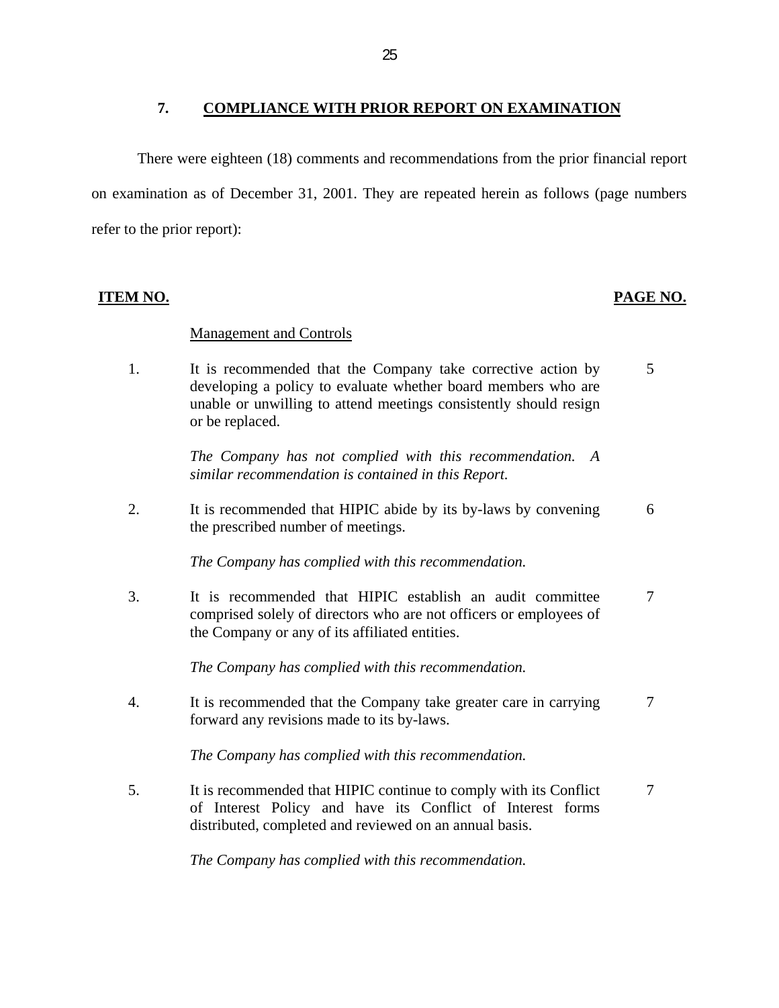#### **7. COMPLIANCE WITH PRIOR REPORT ON EXAMINATION**

<span id="page-26-0"></span>There were eighteen (18) comments and recommendations from the prior financial report on examination as of December 31, 2001. They are repeated herein as follows (page numbers refer to the prior report):

#### **ITEM NO. PAGE NO.**

#### **Management and Controls**

1. It is recommended that the Company take corrective action by 5 developing a policy to evaluate whether board members who are unable or unwilling to attend meetings consistently should resign or be replaced.

> *The Company has not complied with this recommendation. A similar recommendation is contained in this Report.*

2. It is recommended that HIPIC abide by its by-laws by convening 6 the prescribed number of meetings.

*The Company has complied with this recommendation.* 

3. It is recommended that HIPIC establish an audit committee 7 comprised solely of directors who are not officers or employees of the Company or any of its affiliated entities.

*The Company has complied with this recommendation.* 

4. It is recommended that the Company take greater care in carrying 7 forward any revisions made to its by-laws.

*The Company has complied with this recommendation.* 

5. It is recommended that HIPIC continue to comply with its Conflict 7 of Interest Policy and have its Conflict of Interest forms distributed, completed and reviewed on an annual basis.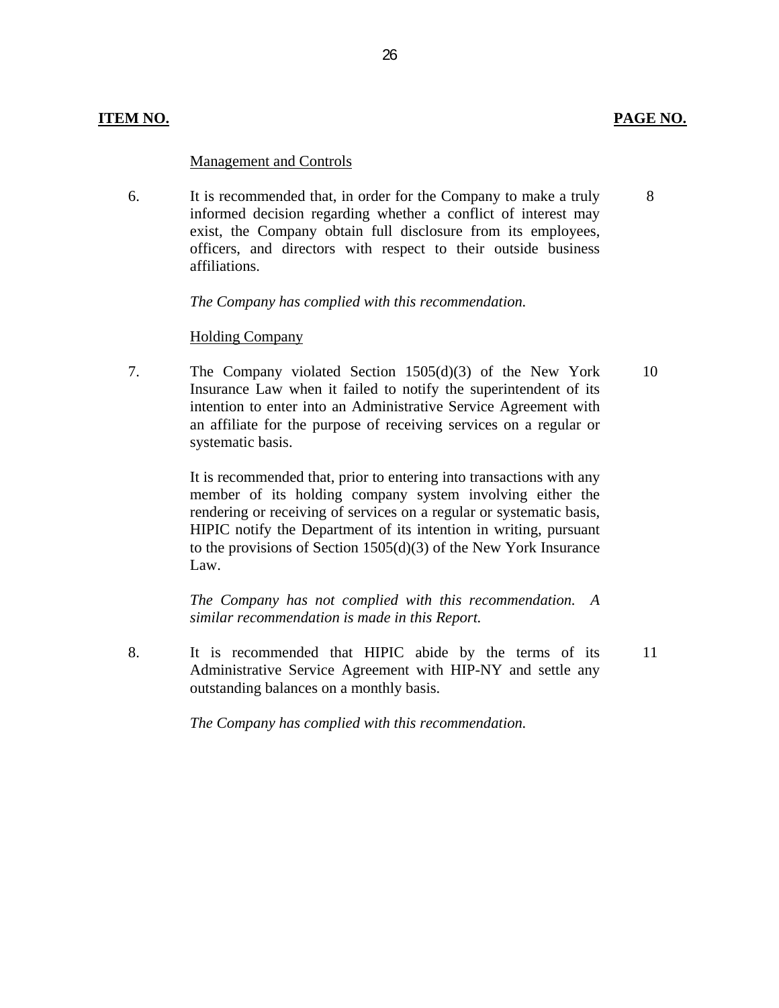#### **Management and Controls**

6. It is recommended that, in order for the Company to make a truly informed decision regarding whether a conflict of interest may exist, the Company obtain full disclosure from its employees, officers, and directors with respect to their outside business affiliations.

26

*The Company has complied with this recommendation.* 

#### **Holding Company**

7. The Company violated Section  $1505(d)(3)$  of the New York Insurance Law when it failed to notify the superintendent of its intention to enter into an Administrative Service Agreement with an affiliate for the purpose of receiving services on a regular or systematic basis.

> It is recommended that, prior to entering into transactions with any member of its holding company system involving either the rendering or receiving of services on a regular or systematic basis, HIPIC notify the Department of its intention in writing, pursuant to the provisions of Section 1505(d)(3) of the New York Insurance Law.

> *The Company has not complied with this recommendation. A similar recommendation is made in this Report.*

8. It is recommended that HIPIC abide by the terms of its Administrative Service Agreement with HIP-NY and settle any outstanding balances on a monthly basis.

*The Company has complied with this recommendation.* 

8

10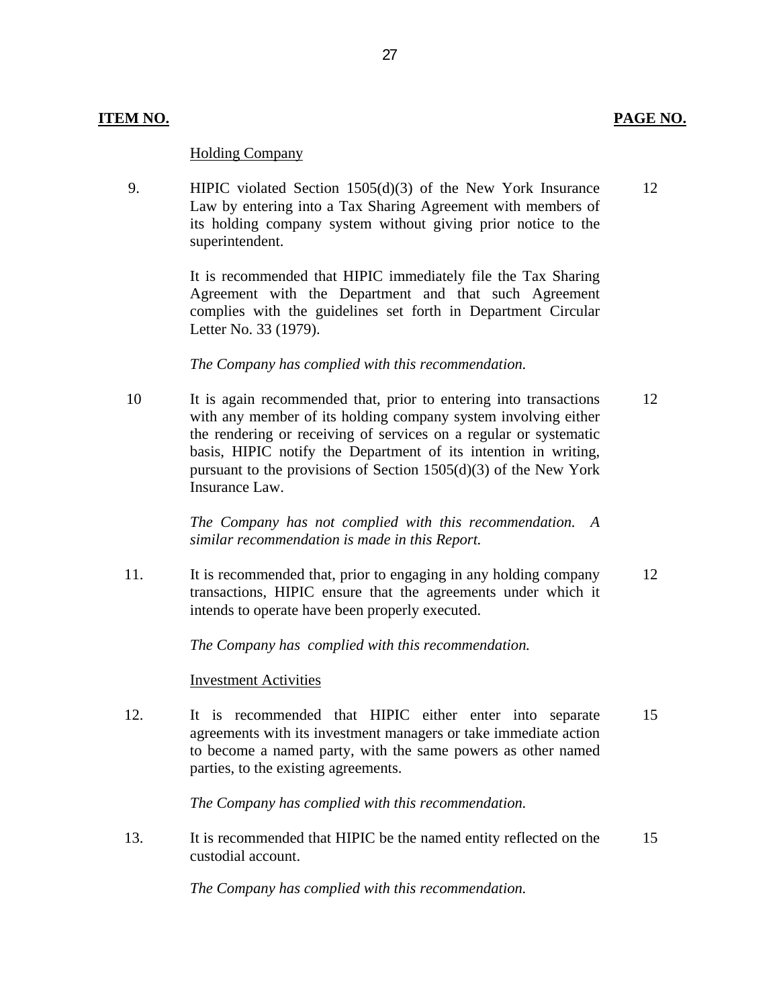#### **Holding Company**

9. HIPIC violated Section  $1505(d)(3)$  of the New York Insurance 12 Law by entering into a Tax Sharing Agreement with members of its holding company system without giving prior notice to the superintendent.

27

It is recommended that HIPIC immediately file the Tax Sharing Agreement with the Department and that such Agreement complies with the guidelines set forth in Department Circular Letter No. 33 (1979).

*The Company has complied with this recommendation.* 

10 It is again recommended that, prior to entering into transactions 12 with any member of its holding company system involving either the rendering or receiving of services on a regular or systematic basis, HIPIC notify the Department of its intention in writing, pursuant to the provisions of Section 1505(d)(3) of the New York Insurance Law.

> *The Company has not complied with this recommendation. A similar recommendation is made in this Report.*

11. It is recommended that, prior to engaging in any holding company 12 transactions, HIPIC ensure that the agreements under which it intends to operate have been properly executed.

*The Company has complied with this recommendation.* 

**Investment Activities** 

12. It is recommended that HIPIC either enter into separate 15 agreements with its investment managers or take immediate action to become a named party, with the same powers as other named parties, to the existing agreements.

*The Company has complied with this recommendation.* 

13. It is recommended that HIPIC be the named entity reflected on the 15 custodial account.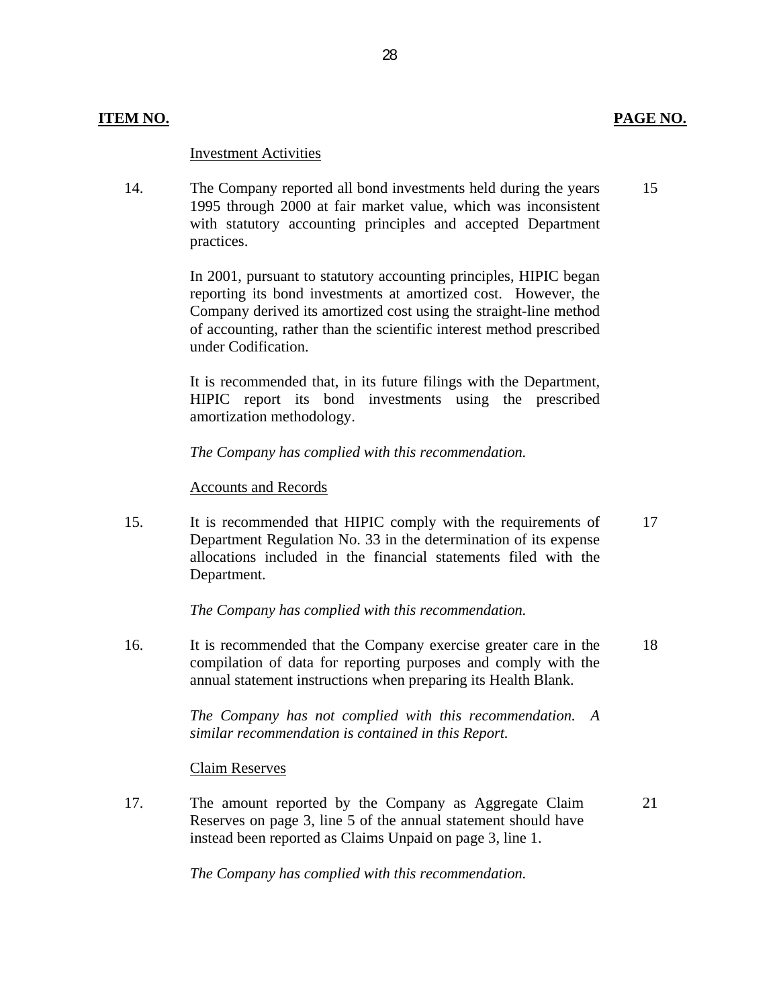#### **Investment Activities**

14. The Company reported all bond investments held during the years 15 1995 through 2000 at fair market value, which was inconsistent with statutory accounting principles and accepted Department practices.

> In 2001, pursuant to statutory accounting principles, HIPIC began reporting its bond investments at amortized cost. However, the Company derived its amortized cost using the straight-line method of accounting, rather than the scientific interest method prescribed under Codification.

> It is recommended that, in its future filings with the Department, HIPIC report its bond investments using the prescribed amortization methodology.

*The Company has complied with this recommendation.* 

#### **Accounts and Records**

15. It is recommended that HIPIC comply with the requirements of 17 Department Regulation No. 33 in the determination of its expense allocations included in the financial statements filed with the Department.

*The Company has complied with this recommendation.* 

16. It is recommended that the Company exercise greater care in the 18 compilation of data for reporting purposes and comply with the annual statement instructions when preparing its Health Blank.

> *The Company has not complied with this recommendation. A similar recommendation is contained in this Report.*

#### **Claim Reserves**

17. The amount reported by the Company as Aggregate Claim 21 Reserves on page 3, line 5 of the annual statement should have instead been reported as Claims Unpaid on page 3, line 1.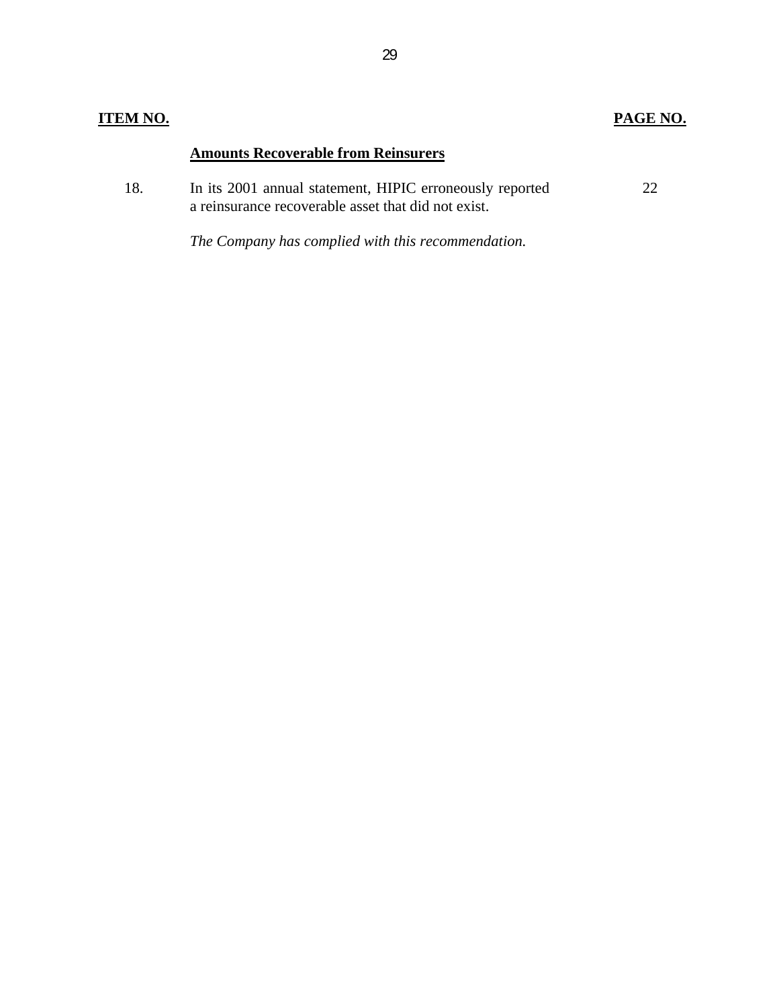### **ITEM NO. PAGE NO.**

### **Amounts Recoverable from Reinsurers**

| 18. | In its 2001 annual statement, HIPIC erroneously reported |  |
|-----|----------------------------------------------------------|--|
|     | a reinsurance recoverable asset that did not exist.      |  |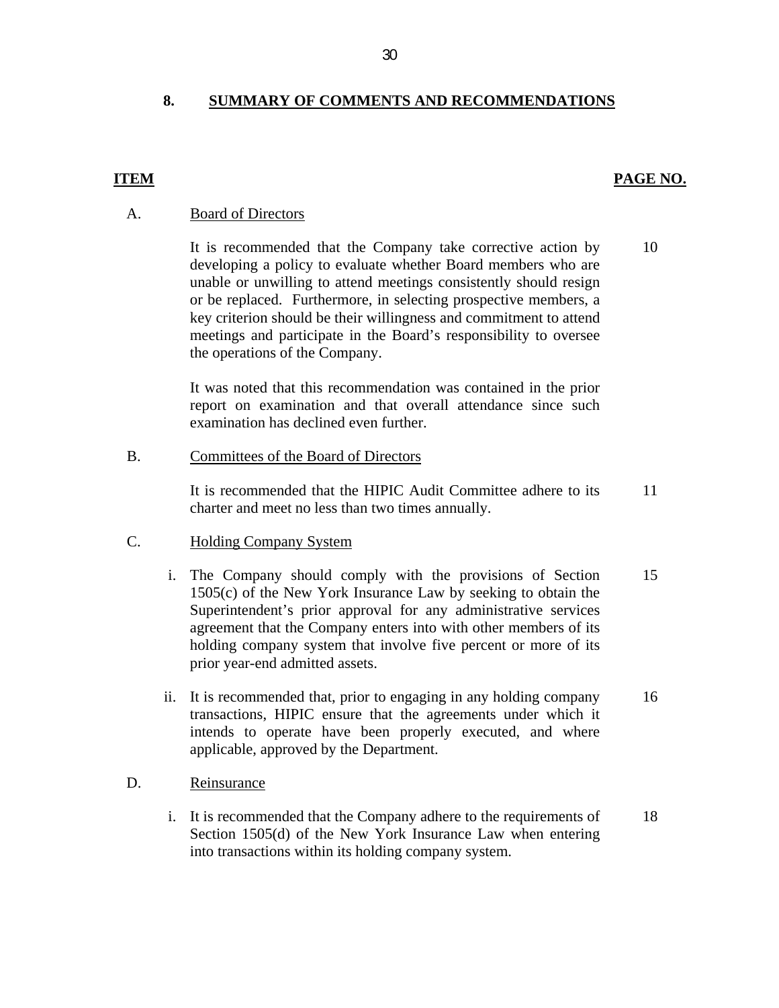#### **8. SUMMARY OF COMMENTS AND RECOMMENDATIONS**

#### **ITEM PAGE NO.**

#### **Board of Directors**

A. Board of Directors<br>It is recommended that the Company take corrective action by developing a policy to evaluate whether Board members who are unable or unwilling to attend meetings consistently should resign or be replaced. Furthermore, in selecting prospective members, a key criterion should be their willingness and commitment to attend meetings and participate in the Board's responsibility to oversee the operations of the Company. 10

> It was noted that this recommendation was contained in the prior report on examination and that overall attendance since such examination has declined even further.

#### Committees of the Board of Directors

B. Committees of the Board of Directors<br>It is recommended that the HIPIC Au<br>charter and meet no less than two time<br>C. Holding Company System It is recommended that the HIPIC Audit Committee adhere to its charter and meet no less than two times annually.

#### **Holding Company System**

- Holding Company System<br>i. The Company should comply with the provisions of Section 1505(c) of the New York Insurance Law by seeking to obtain the Superintendent's prior approval for any administrative services agreement that the Company enters into with other members of its holding company system that involve five percent or more of its prior year-end admitted assets. It is recommended that the HIPIC Audit Committee adhere to its<br>
11 charter and meet no less than two times annually.<br>
Holding Company System<br>
The Company should comply with the provisions of Section<br>
1505(c) of the New Yor 15
- ii. It is recommended that, prior to engaging in any holding company transactions, HIPIC ensure that the agreements under which it intends to operate have been properly executed, and where applicable, approved by the Department. 16

#### Reinsurance D.

i. It is recommended that the Company adhere to the requirements of Section 1505(d) of the New York Insurance Law when entering into transactions within its holding company system. 18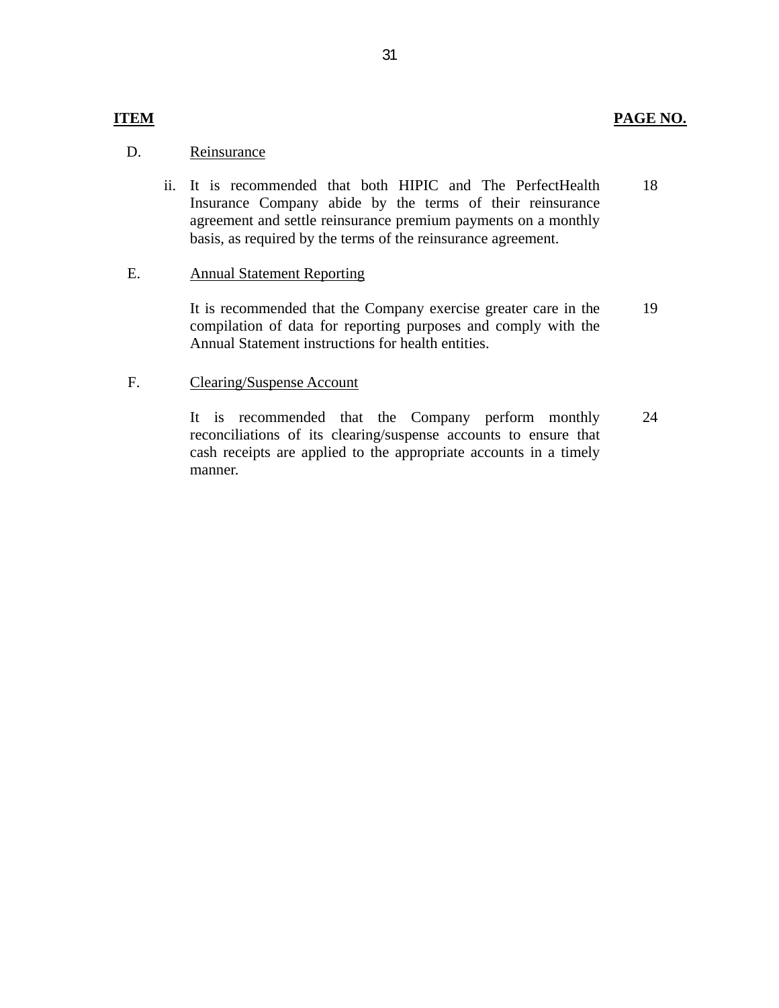#### **PAGE NO.**

#### **ITEM**

#### D. Reinsurance

ii. It is recommended that both HIPIC and The PerfectHealth Insurance Company abide by the terms of their reinsurance agreement and settle reinsurance premium payments on a monthly basis, as required by the terms of the reinsurance agreement. 18

#### **Annual Statement Reporting** E.

It is recommended that the Company exercise greater care in the compilation of data for reporting purposes and comply with the Annual Statement instructions for health entities. 19

#### **Clearing/Suspense Account**

F. Clearing/Suspense Account<br>It is recommended that the Company perform monthly reconciliations of its clearing/suspense accounts to ensure that cash receipts are applied to the appropriate accounts in a timely manner. 24